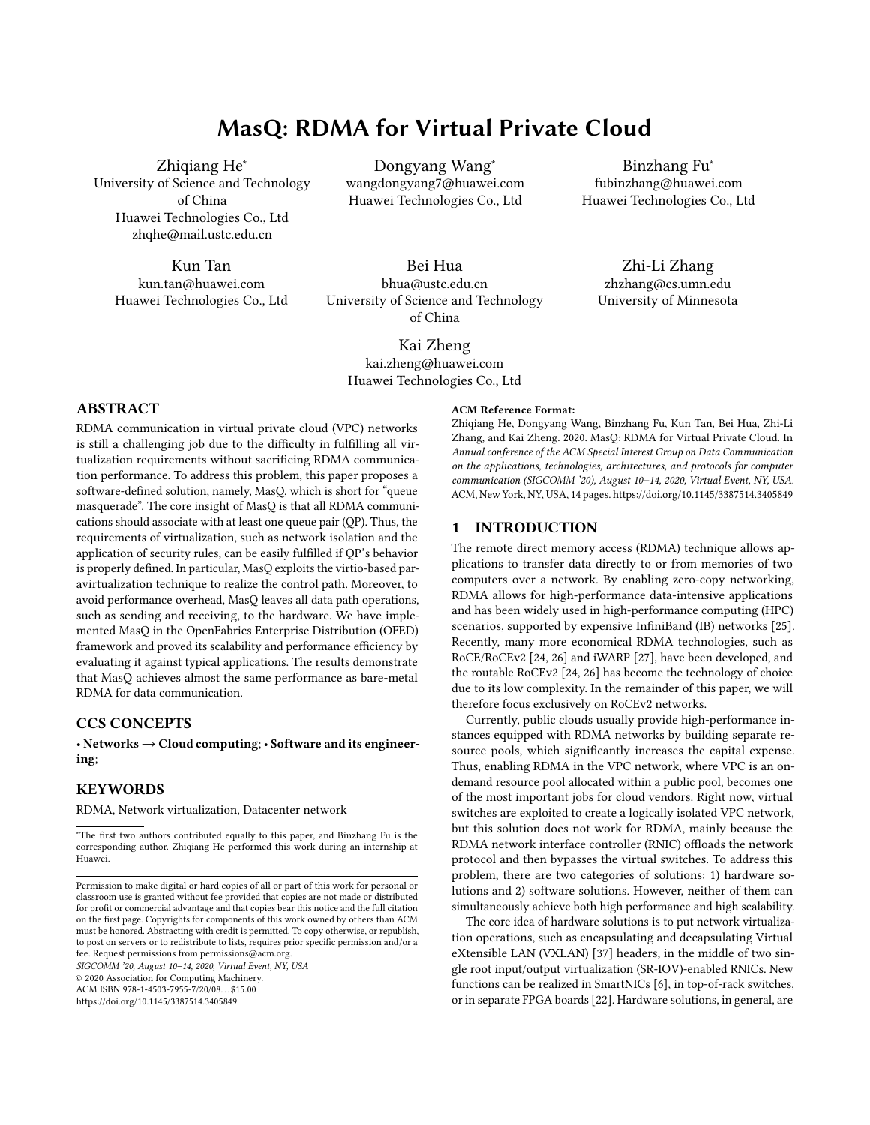# MasQ: RDMA for Virtual Private Cloud

Zhiqiang He<sup>∗</sup> University of Science and Technology of China Huawei Technologies Co., Ltd zhqhe@mail.ustc.edu.cn

Kun Tan kun.tan@huawei.com Huawei Technologies Co., Ltd

Dongyang Wang<sup>∗</sup> wangdongyang7@huawei.com Huawei Technologies Co., Ltd

Bei Hua bhua@ustc.edu.cn University of Science and Technology of China

Kai Zheng kai.zheng@huawei.com Huawei Technologies Co., Ltd

Binzhang Fu<sup>∗</sup> fubinzhang@huawei.com Huawei Technologies Co., Ltd

Zhi-Li Zhang zhzhang@cs.umn.edu University of Minnesota

# ABSTRACT

RDMA communication in virtual private cloud (VPC) networks is still a challenging job due to the difficulty in fulfilling all virtualization requirements without sacrificing RDMA communication performance. To address this problem, this paper proposes a software-defined solution, namely, MasQ, which is short for "queue masquerade". The core insight of MasQ is that all RDMA communications should associate with at least one queue pair (QP). Thus, the requirements of virtualization, such as network isolation and the application of security rules, can be easily fulfilled if QP's behavior is properly defined. In particular, MasQ exploits the virtio-based paravirtualization technique to realize the control path. Moreover, to avoid performance overhead, MasQ leaves all data path operations, such as sending and receiving, to the hardware. We have implemented MasQ in the OpenFabrics Enterprise Distribution (OFED) framework and proved its scalability and performance efficiency by evaluating it against typical applications. The results demonstrate that MasQ achieves almost the same performance as bare-metal RDMA for data communication.

### CCS CONCEPTS

• Networks  $\rightarrow$  Cloud computing; • Software and its engineering;

#### **KEYWORDS**

RDMA, Network virtualization, Datacenter network

SIGCOMM '20, August 10–14, 2020, Virtual Event, NY, USA

© 2020 Association for Computing Machinery.

ACM ISBN 978-1-4503-7955-7/20/08. . . \$15.00 <https://doi.org/10.1145/3387514.3405849>

#### ACM Reference Format:

Zhiqiang He, Dongyang Wang, Binzhang Fu, Kun Tan, Bei Hua, Zhi-Li Zhang, and Kai Zheng. 2020. MasQ: RDMA for Virtual Private Cloud. In Annual conference of the ACM Special Interest Group on Data Communication on the applications, technologies, architectures, and protocols for computer communication (SIGCOMM '20), August 10–14, 2020, Virtual Event, NY, USA. ACM, New York, NY, USA, [14](#page-13-0) pages[. https://doi.org/10.1145/3387514.3405849](https://doi.org/10.1145/3387514.3405849)

#### 1 INTRODUCTION

The remote direct memory access (RDMA) technique allows applications to transfer data directly to or from memories of two computers over a network. By enabling zero-copy networking, RDMA allows for high-performance data-intensive applications and has been widely used in high-performance computing (HPC) scenarios, supported by expensive InfiniBand (IB) networks [\[25\]](#page-12-0). Recently, many more economical RDMA technologies, such as RoCE/RoCEv2 [\[24,](#page-12-1) [26\]](#page-12-2) and iWARP [\[27\]](#page-12-3), have been developed, and the routable RoCEv2 [\[24,](#page-12-1) [26\]](#page-12-2) has become the technology of choice due to its low complexity. In the remainder of this paper, we will therefore focus exclusively on RoCEv2 networks.

Currently, public clouds usually provide high-performance instances equipped with RDMA networks by building separate resource pools, which significantly increases the capital expense. Thus, enabling RDMA in the VPC network, where VPC is an ondemand resource pool allocated within a public pool, becomes one of the most important jobs for cloud vendors. Right now, virtual switches are exploited to create a logically isolated VPC network, but this solution does not work for RDMA, mainly because the RDMA network interface controller (RNIC) offloads the network protocol and then bypasses the virtual switches. To address this problem, there are two categories of solutions: 1) hardware solutions and 2) software solutions. However, neither of them can simultaneously achieve both high performance and high scalability.

The core idea of hardware solutions is to put network virtualization operations, such as encapsulating and decapsulating Virtual eXtensible LAN (VXLAN) [\[37\]](#page-12-4) headers, in the middle of two single root input/output virtualization (SR-IOV)-enabled RNICs. New functions can be realized in SmartNICs [\[6\]](#page-11-0), in top-of-rack switches, or in separate FPGA boards [\[22\]](#page-12-5). Hardware solutions, in general, are

<sup>∗</sup>The first two authors contributed equally to this paper, and Binzhang Fu is the corresponding author. Zhiqiang He performed this work during an internship at Huawei.

Permission to make digital or hard copies of all or part of this work for personal or classroom use is granted without fee provided that copies are not made or distributed for profit or commercial advantage and that copies bear this notice and the full citation on the first page. Copyrights for components of this work owned by others than ACM must be honored. Abstracting with credit is permitted. To copy otherwise, or republish, to post on servers or to redistribute to lists, requires prior specific permission and/or a fee. Request permissions from permissions@acm.org.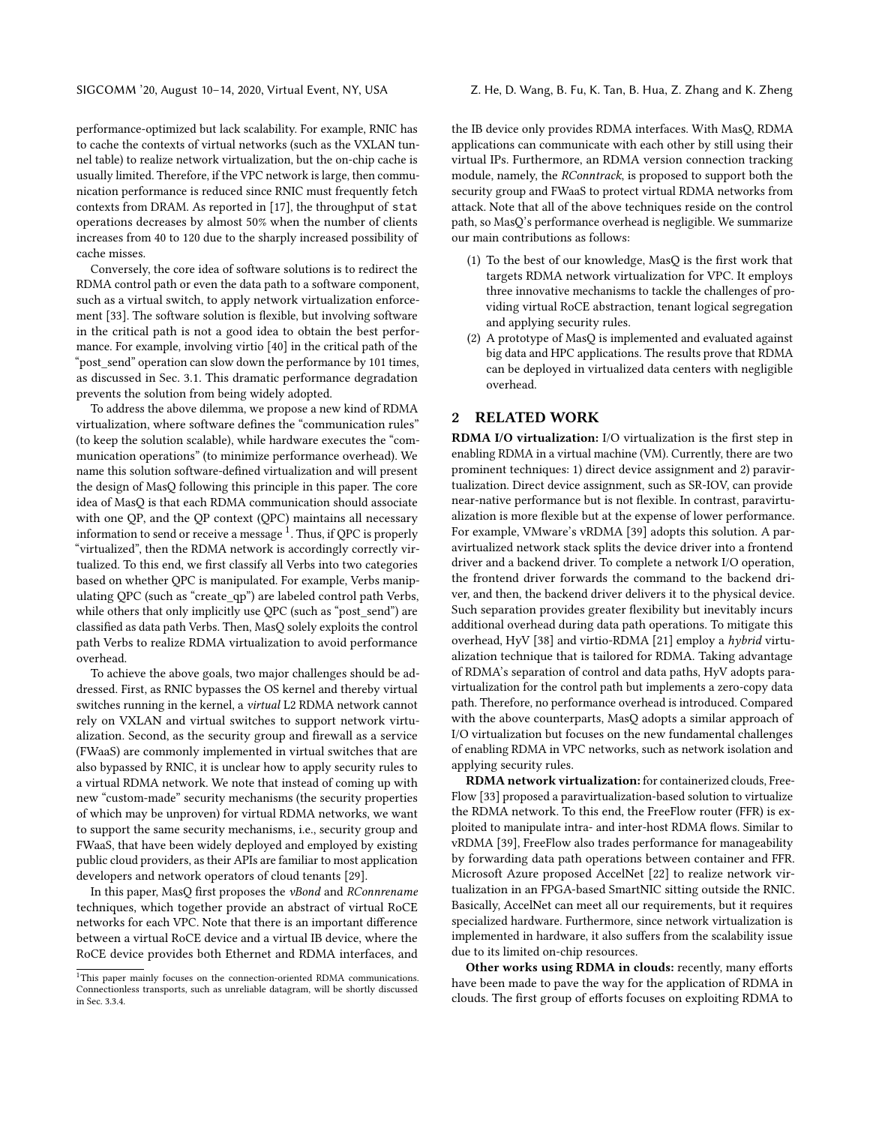SIGCOMM '20, August 10-14, 2020, Virtual Event, NY, USA Z. He, D. Wang, B. Fu, K. Tan, B. Hua, Z. Zhang and K. Zheng

performance-optimized but lack scalability. For example, RNIC has to cache the contexts of virtual networks (such as the VXLAN tunnel table) to realize network virtualization, but the on-chip cache is usually limited. Therefore, if the VPC network is large, then communication performance is reduced since RNIC must frequently fetch contexts from DRAM. As reported in [\[17\]](#page-11-1), the throughput of stat operations decreases by almost 50% when the number of clients increases from 40 to 120 due to the sharply increased possibility of cache misses.

Conversely, the core idea of software solutions is to redirect the RDMA control path or even the data path to a software component, such as a virtual switch, to apply network virtualization enforcement [\[33\]](#page-12-6). The software solution is flexible, but involving software in the critical path is not a good idea to obtain the best performance. For example, involving virtio [\[40\]](#page-12-7) in the critical path of the "post send" operation can slow down the performance by 101 times, as discussed in Sec. [3.1.](#page-2-0) This dramatic performance degradation prevents the solution from being widely adopted.

To address the above dilemma, we propose a new kind of RDMA virtualization, where software defines the "communication rules" (to keep the solution scalable), while hardware executes the "communication operations" (to minimize performance overhead). We name this solution software-defined virtualization and will present the design of MasQ following this principle in this paper. The core idea of MasQ is that each RDMA communication should associate with one QP, and the QP context (QPC) maintains all necessary information to send or receive a message  $^1.$  $^1.$  $^1.$  Thus, if QPC is properly "virtualized", then the RDMA network is accordingly correctly virtualized. To this end, we first classify all Verbs into two categories based on whether QPC is manipulated. For example, Verbs manipulating QPC (such as "create\_qp") are labeled control path Verbs, while others that only implicitly use QPC (such as "post\_send") are classified as data path Verbs. Then, MasQ solely exploits the control path Verbs to realize RDMA virtualization to avoid performance overhead.

To achieve the above goals, two major challenges should be addressed. First, as RNIC bypasses the OS kernel and thereby virtual switches running in the kernel, a virtual L2 RDMA network cannot rely on VXLAN and virtual switches to support network virtualization. Second, as the security group and firewall as a service (FWaaS) are commonly implemented in virtual switches that are also bypassed by RNIC, it is unclear how to apply security rules to a virtual RDMA network. We note that instead of coming up with new "custom-made" security mechanisms (the security properties of which may be unproven) for virtual RDMA networks, we want to support the same security mechanisms, i.e., security group and FWaaS, that have been widely deployed and employed by existing public cloud providers, as their APIs are familiar to most application developers and network operators of cloud tenants [\[29\]](#page-12-8).

In this paper, MasQ first proposes the vBond and RConnrename techniques, which together provide an abstract of virtual RoCE networks for each VPC. Note that there is an important difference between a virtual RoCE device and a virtual IB device, where the RoCE device provides both Ethernet and RDMA interfaces, and the IB device only provides RDMA interfaces. With MasQ, RDMA applications can communicate with each other by still using their virtual IPs. Furthermore, an RDMA version connection tracking module, namely, the RConntrack, is proposed to support both the security group and FWaaS to protect virtual RDMA networks from attack. Note that all of the above techniques reside on the control path, so MasQ's performance overhead is negligible. We summarize our main contributions as follows:

- (1) To the best of our knowledge, MasQ is the first work that targets RDMA network virtualization for VPC. It employs three innovative mechanisms to tackle the challenges of providing virtual RoCE abstraction, tenant logical segregation and applying security rules.
- (2) A prototype of MasQ is implemented and evaluated against big data and HPC applications. The results prove that RDMA can be deployed in virtualized data centers with negligible overhead.

# 2 RELATED WORK

RDMA I/O virtualization: I/O virtualization is the first step in enabling RDMA in a virtual machine (VM). Currently, there are two prominent techniques: 1) direct device assignment and 2) paravirtualization. Direct device assignment, such as SR-IOV, can provide near-native performance but is not flexible. In contrast, paravirtualization is more flexible but at the expense of lower performance. For example, VMware's vRDMA [\[39\]](#page-12-9) adopts this solution. A paravirtualized network stack splits the device driver into a frontend driver and a backend driver. To complete a network I/O operation, the frontend driver forwards the command to the backend driver, and then, the backend driver delivers it to the physical device. Such separation provides greater flexibility but inevitably incurs additional overhead during data path operations. To mitigate this overhead, HyV [\[38\]](#page-12-10) and virtio-RDMA [\[21\]](#page-12-11) employ a hybrid virtualization technique that is tailored for RDMA. Taking advantage of RDMA's separation of control and data paths, HyV adopts paravirtualization for the control path but implements a zero-copy data path. Therefore, no performance overhead is introduced. Compared with the above counterparts, MasQ adopts a similar approach of I/O virtualization but focuses on the new fundamental challenges of enabling RDMA in VPC networks, such as network isolation and applying security rules.

RDMA network virtualization: for containerized clouds, Free-Flow [\[33\]](#page-12-6) proposed a paravirtualization-based solution to virtualize the RDMA network. To this end, the FreeFlow router (FFR) is exploited to manipulate intra- and inter-host RDMA flows. Similar to vRDMA [\[39\]](#page-12-9), FreeFlow also trades performance for manageability by forwarding data path operations between container and FFR. Microsoft Azure proposed AccelNet [\[22\]](#page-12-5) to realize network virtualization in an FPGA-based SmartNIC sitting outside the RNIC. Basically, AccelNet can meet all our requirements, but it requires specialized hardware. Furthermore, since network virtualization is implemented in hardware, it also suffers from the scalability issue due to its limited on-chip resources.

Other works using RDMA in clouds: recently, many efforts have been made to pave the way for the application of RDMA in clouds. The first group of efforts focuses on exploiting RDMA to

<span id="page-1-0"></span><sup>&</sup>lt;sup>1</sup>This paper mainly focuses on the connection-oriented RDMA communications. Connectionless transports, such as unreliable datagram, will be shortly discussed in Sec. [3.3.4.](#page-6-0)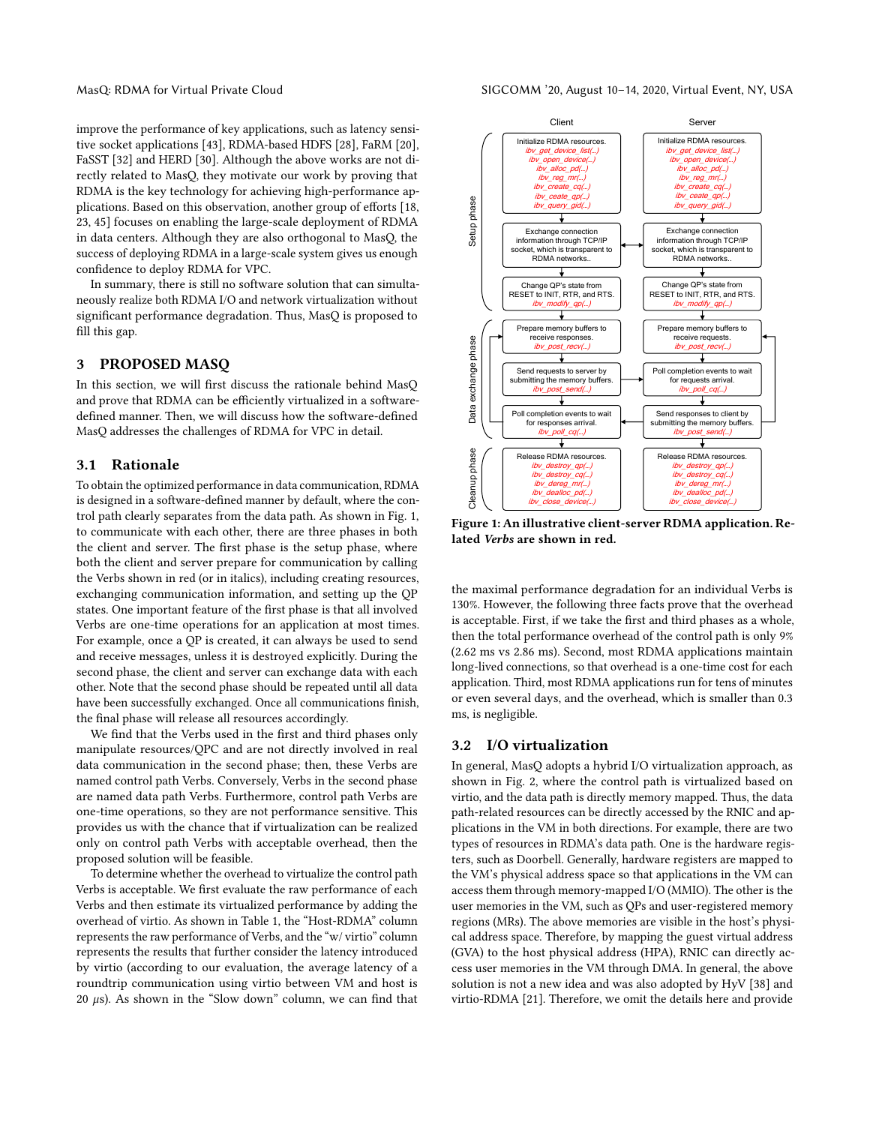improve the performance of key applications, such as latency sensitive socket applications [\[43\]](#page-12-12), RDMA-based HDFS [\[28\]](#page-12-13), FaRM [\[20\]](#page-12-14), FaSST [\[32\]](#page-12-15) and HERD [\[30\]](#page-12-16). Although the above works are not directly related to MasQ, they motivate our work by proving that RDMA is the key technology for achieving high-performance applications. Based on this observation, another group of efforts [\[18,](#page-11-2) [23,](#page-12-17) [45\]](#page-12-18) focuses on enabling the large-scale deployment of RDMA in data centers. Although they are also orthogonal to MasQ, the success of deploying RDMA in a large-scale system gives us enough confidence to deploy RDMA for VPC.

In summary, there is still no software solution that can simultaneously realize both RDMA I/O and network virtualization without significant performance degradation. Thus, MasQ is proposed to fill this gap.

#### <span id="page-2-3"></span>3 PROPOSED MASQ

In this section, we will first discuss the rationale behind MasQ and prove that RDMA can be efficiently virtualized in a softwaredefined manner. Then, we will discuss how the software-defined MasQ addresses the challenges of RDMA for VPC in detail.

#### <span id="page-2-0"></span>3.1 Rationale

To obtain the optimized performance in data communication, RDMA is designed in a software-defined manner by default, where the control path clearly separates from the data path. As shown in Fig. [1,](#page-2-1) to communicate with each other, there are three phases in both the client and server. The first phase is the setup phase, where both the client and server prepare for communication by calling the Verbs shown in red (or in italics), including creating resources, exchanging communication information, and setting up the QP states. One important feature of the first phase is that all involved Verbs are one-time operations for an application at most times. For example, once a QP is created, it can always be used to send and receive messages, unless it is destroyed explicitly. During the second phase, the client and server can exchange data with each other. Note that the second phase should be repeated until all data have been successfully exchanged. Once all communications finish, the final phase will release all resources accordingly.

We find that the Verbs used in the first and third phases only manipulate resources/QPC and are not directly involved in real data communication in the second phase; then, these Verbs are named control path Verbs. Conversely, Verbs in the second phase are named data path Verbs. Furthermore, control path Verbs are one-time operations, so they are not performance sensitive. This provides us with the chance that if virtualization can be realized only on control path Verbs with acceptable overhead, then the proposed solution will be feasible.

To determine whether the overhead to virtualize the control path Verbs is acceptable. We first evaluate the raw performance of each Verbs and then estimate its virtualized performance by adding the overhead of virtio. As shown in Table [1,](#page-3-0) the "Host-RDMA" column represents the raw performance of Verbs, and the "w/ virtio" column represents the results that further consider the latency introduced by virtio (according to our evaluation, the average latency of a roundtrip communication using virtio between VM and host is  $20 \mu s$ ). As shown in the "Slow down" column, we can find that

<span id="page-2-1"></span>

Figure 1: An illustrative client-server RDMA application. Related Verbs are shown in red.

the maximal performance degradation for an individual Verbs is 130%. However, the following three facts prove that the overhead is acceptable. First, if we take the first and third phases as a whole, then the total performance overhead of the control path is only 9% (2.62 ms vs 2.86 ms). Second, most RDMA applications maintain long-lived connections, so that overhead is a one-time cost for each application. Third, most RDMA applications run for tens of minutes or even several days, and the overhead, which is smaller than 0.3 ms, is negligible.

#### <span id="page-2-2"></span>3.2 I/O virtualization

In general, MasQ adopts a hybrid I/O virtualization approach, as shown in Fig. [2,](#page-3-1) where the control path is virtualized based on virtio, and the data path is directly memory mapped. Thus, the data path-related resources can be directly accessed by the RNIC and applications in the VM in both directions. For example, there are two types of resources in RDMA's data path. One is the hardware registers, such as Doorbell. Generally, hardware registers are mapped to the VM's physical address space so that applications in the VM can access them through memory-mapped I/O (MMIO). The other is the user memories in the VM, such as QPs and user-registered memory regions (MRs). The above memories are visible in the host's physical address space. Therefore, by mapping the guest virtual address (GVA) to the host physical address (HPA), RNIC can directly access user memories in the VM through DMA. In general, the above solution is not a new idea and was also adopted by HyV [\[38\]](#page-12-10) and virtio-RDMA [\[21\]](#page-12-11). Therefore, we omit the details here and provide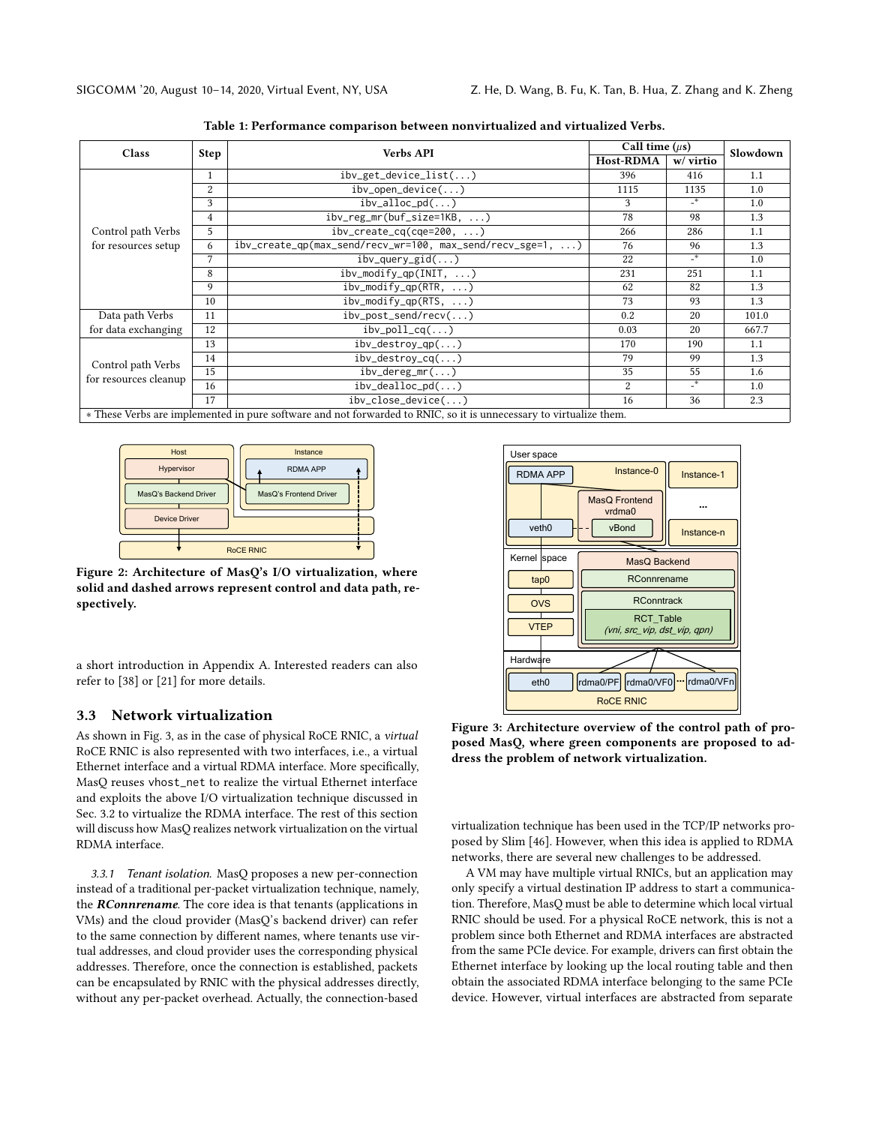<span id="page-3-0"></span>

| <b>Class</b>                                | <b>Step</b>    | <b>Verbs API</b>                                                                                                   | Call time $(\mu s)$ |                            | Slowdown |
|---------------------------------------------|----------------|--------------------------------------------------------------------------------------------------------------------|---------------------|----------------------------|----------|
|                                             |                |                                                                                                                    | Host-RDMA           | w/ virtio                  |          |
|                                             | 1              | ibv_get_device_list()                                                                                              | 396                 | 416                        | 1.1      |
|                                             | $\overline{2}$ | $ibv\_open\_device()$                                                                                              | 1115                | 1135                       | 1.0      |
|                                             | 3              | $ibv\_alloc\_pd()$                                                                                                 | 3                   | $\overline{\phantom{a}}^*$ | 1.0      |
|                                             | 4              | $ibv_reg_mr(buf_size=1KB, )$                                                                                       | 78                  | 98                         | 1.3      |
| Control path Verbs                          | 5              | $ibv_ccreate_cq(cqe=200, \ldots)$                                                                                  | 266                 | 286                        | 1.1      |
| for resources setup                         | 6              | $ibv_ccreate_qp(max_send/recv_wr=100$ , $max_send/recv_sge=1$ , )                                                  | 76                  | 96                         | 1.3      |
|                                             | 7              | $ibv_query_gid()$                                                                                                  | 22                  | $\overline{z^*}$           | 1.0      |
|                                             | 8              | $ibv_{modify_qp(INIT, ))$                                                                                          | 231                 | 251                        | 1.1      |
|                                             | 9              | $ibv_modify_qp(RTR, )$                                                                                             | 62                  | 82                         | 1.3      |
|                                             | 10             | $ibv_modify_qp(RTS, )$                                                                                             | 73                  | 93                         | 1.3      |
| Data path Verbs                             | 11             | $ibv\_post\_send/recv()$                                                                                           | 0.2                 | 20                         | 101.0    |
| for data exchanging                         | 12             | $ibv_{p}$ poll_cq $()$                                                                                             | 0.03                | 20                         | 667.7    |
| Control path Verbs<br>for resources cleanup | 13             | $ibv_destroy_qp()$                                                                                                 | 170                 | 190                        | 1.1      |
|                                             | 14             | $ibv_destroy_cq()$                                                                                                 | 79                  | 99                         | 1.3      |
|                                             | 15             | $ibv_{\text{def}} = \frac{mv}{m}$                                                                                  | 35                  | 55                         | 1.6      |
|                                             | 16             | $ibv_{de}$ alloc $pd$ )                                                                                            | $\overline{2}$      | $-$ *                      | 1.0      |
|                                             | 17             | $ibv_{\text{close\_device}()}$                                                                                     | 16                  | 36                         | 2.3      |
|                                             |                | * These Verbs are implemented in pure software and not forwarded to RNIC, so it is unnecessary to virtualize them. |                     |                            |          |

Table 1: Performance comparison between nonvirtualized and virtualized Verbs.

<span id="page-3-1"></span>

Figure 2: Architecture of MasQ's I/O virtualization, where solid and dashed arrows represent control and data path, respectively.

a short introduction in Appendix A. Interested readers can also refer to [\[38\]](#page-12-10) or [\[21\]](#page-12-11) for more details.

#### 3.3 Network virtualization

As shown in Fig. [3,](#page-3-2) as in the case of physical RoCE RNIC, a virtual RoCE RNIC is also represented with two interfaces, i.e., a virtual Ethernet interface and a virtual RDMA interface. More specifically, MasQ reuses vhost\_net to realize the virtual Ethernet interface and exploits the above I/O virtualization technique discussed in Sec. [3.2](#page-2-2) to virtualize the RDMA interface. The rest of this section will discuss how MasQ realizes network virtualization on the virtual RDMA interface.

<span id="page-3-3"></span>3.3.1 Tenant isolation. MasQ proposes a new per-connection instead of a traditional per-packet virtualization technique, namely, the *RConnrename*. The core idea is that tenants (applications in VMs) and the cloud provider (MasQ's backend driver) can refer to the same connection by different names, where tenants use virtual addresses, and cloud provider uses the corresponding physical addresses. Therefore, once the connection is established, packets can be encapsulated by RNIC with the physical addresses directly, without any per-packet overhead. Actually, the connection-based

<span id="page-3-2"></span>

Figure 3: Architecture overview of the control path of proposed MasQ, where green components are proposed to address the problem of network virtualization.

virtualization technique has been used in the TCP/IP networks proposed by Slim [\[46\]](#page-12-19). However, when this idea is applied to RDMA networks, there are several new challenges to be addressed.

A VM may have multiple virtual RNICs, but an application may only specify a virtual destination IP address to start a communication. Therefore, MasQ must be able to determine which local virtual RNIC should be used. For a physical RoCE network, this is not a problem since both Ethernet and RDMA interfaces are abstracted from the same PCIe device. For example, drivers can first obtain the Ethernet interface by looking up the local routing table and then obtain the associated RDMA interface belonging to the same PCIe device. However, virtual interfaces are abstracted from separate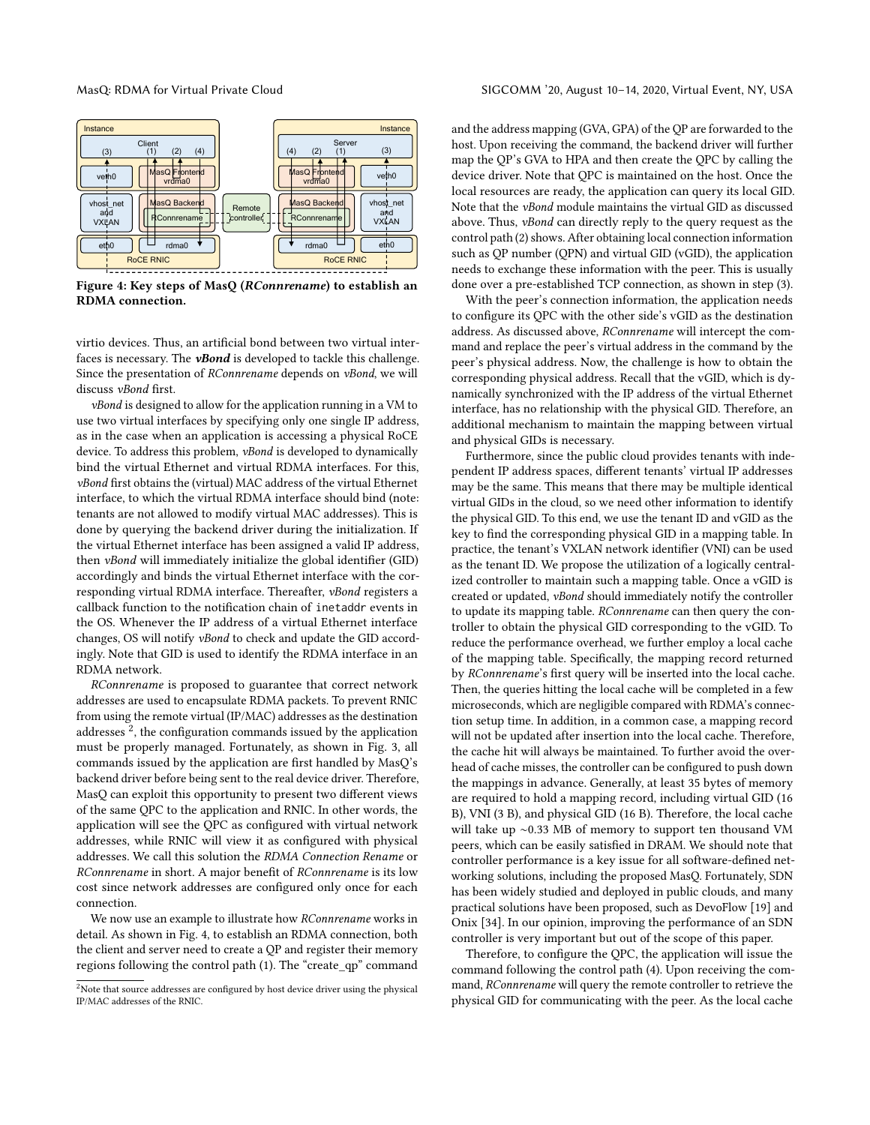<span id="page-4-1"></span>

Figure 4: Key steps of MasQ (RConnrename) to establish an RDMA connection.

virtio devices. Thus, an artificial bond between two virtual interfaces is necessary. The **vBond** is developed to tackle this challenge. Since the presentation of RConnrename depends on vBond, we will discuss vBond first.

vBond is designed to allow for the application running in a VM to use two virtual interfaces by specifying only one single IP address, as in the case when an application is accessing a physical RoCE device. To address this problem, vBond is developed to dynamically bind the virtual Ethernet and virtual RDMA interfaces. For this, vBond first obtains the (virtual) MAC address of the virtual Ethernet interface, to which the virtual RDMA interface should bind (note: tenants are not allowed to modify virtual MAC addresses). This is done by querying the backend driver during the initialization. If the virtual Ethernet interface has been assigned a valid IP address, then vBond will immediately initialize the global identifier (GID) accordingly and binds the virtual Ethernet interface with the corresponding virtual RDMA interface. Thereafter, vBond registers a callback function to the notification chain of inetaddr events in the OS. Whenever the IP address of a virtual Ethernet interface changes, OS will notify vBond to check and update the GID accordingly. Note that GID is used to identify the RDMA interface in an RDMA network.

RConnrename is proposed to guarantee that correct network addresses are used to encapsulate RDMA packets. To prevent RNIC from using the remote virtual (IP/MAC) addresses as the destination addresses  $^2$  $^2$ , the configuration commands issued by the application must be properly managed. Fortunately, as shown in Fig. [3,](#page-3-2) all commands issued by the application are first handled by MasQ's backend driver before being sent to the real device driver. Therefore, MasQ can exploit this opportunity to present two different views of the same QPC to the application and RNIC. In other words, the application will see the QPC as configured with virtual network addresses, while RNIC will view it as configured with physical addresses. We call this solution the RDMA Connection Rename or RConnrename in short. A major benefit of RConnrename is its low cost since network addresses are configured only once for each connection.

We now use an example to illustrate how RConnrename works in detail. As shown in Fig. [4,](#page-4-1) to establish an RDMA connection, both the client and server need to create a QP and register their memory regions following the control path (1). The "create\_qp" command and the address mapping (GVA, GPA) of the QP are forwarded to the host. Upon receiving the command, the backend driver will further map the QP's GVA to HPA and then create the QPC by calling the device driver. Note that QPC is maintained on the host. Once the local resources are ready, the application can query its local GID. Note that the vBond module maintains the virtual GID as discussed above. Thus, vBond can directly reply to the query request as the control path (2) shows. After obtaining local connection information such as QP number (QPN) and virtual GID (vGID), the application needs to exchange these information with the peer. This is usually done over a pre-established TCP connection, as shown in step (3).

With the peer's connection information, the application needs to configure its QPC with the other side's vGID as the destination address. As discussed above, RConnrename will intercept the command and replace the peer's virtual address in the command by the peer's physical address. Now, the challenge is how to obtain the corresponding physical address. Recall that the vGID, which is dynamically synchronized with the IP address of the virtual Ethernet interface, has no relationship with the physical GID. Therefore, an additional mechanism to maintain the mapping between virtual and physical GIDs is necessary.

Furthermore, since the public cloud provides tenants with independent IP address spaces, different tenants' virtual IP addresses may be the same. This means that there may be multiple identical virtual GIDs in the cloud, so we need other information to identify the physical GID. To this end, we use the tenant ID and vGID as the key to find the corresponding physical GID in a mapping table. In practice, the tenant's VXLAN network identifier (VNI) can be used as the tenant ID. We propose the utilization of a logically centralized controller to maintain such a mapping table. Once a vGID is created or updated, vBond should immediately notify the controller to update its mapping table. RConnrename can then query the controller to obtain the physical GID corresponding to the vGID. To reduce the performance overhead, we further employ a local cache of the mapping table. Specifically, the mapping record returned by RConnrename's first query will be inserted into the local cache. Then, the queries hitting the local cache will be completed in a few microseconds, which are negligible compared with RDMA's connection setup time. In addition, in a common case, a mapping record will not be updated after insertion into the local cache. Therefore, the cache hit will always be maintained. To further avoid the overhead of cache misses, the controller can be configured to push down the mappings in advance. Generally, at least 35 bytes of memory are required to hold a mapping record, including virtual GID (16 B), VNI (3 B), and physical GID (16 B). Therefore, the local cache will take up ∼0.33 MB of memory to support ten thousand VM peers, which can be easily satisfied in DRAM. We should note that controller performance is a key issue for all software-defined networking solutions, including the proposed MasQ. Fortunately, SDN has been widely studied and deployed in public clouds, and many practical solutions have been proposed, such as DevoFlow [\[19\]](#page-12-20) and Onix [\[34\]](#page-12-21). In our opinion, improving the performance of an SDN controller is very important but out of the scope of this paper.

Therefore, to configure the QPC, the application will issue the command following the control path (4). Upon receiving the command, RConnrename will query the remote controller to retrieve the physical GID for communicating with the peer. As the local cache

<span id="page-4-0"></span> $2$ Note that source addresses are configured by host device driver using the physical IP/MAC addresses of the RNIC.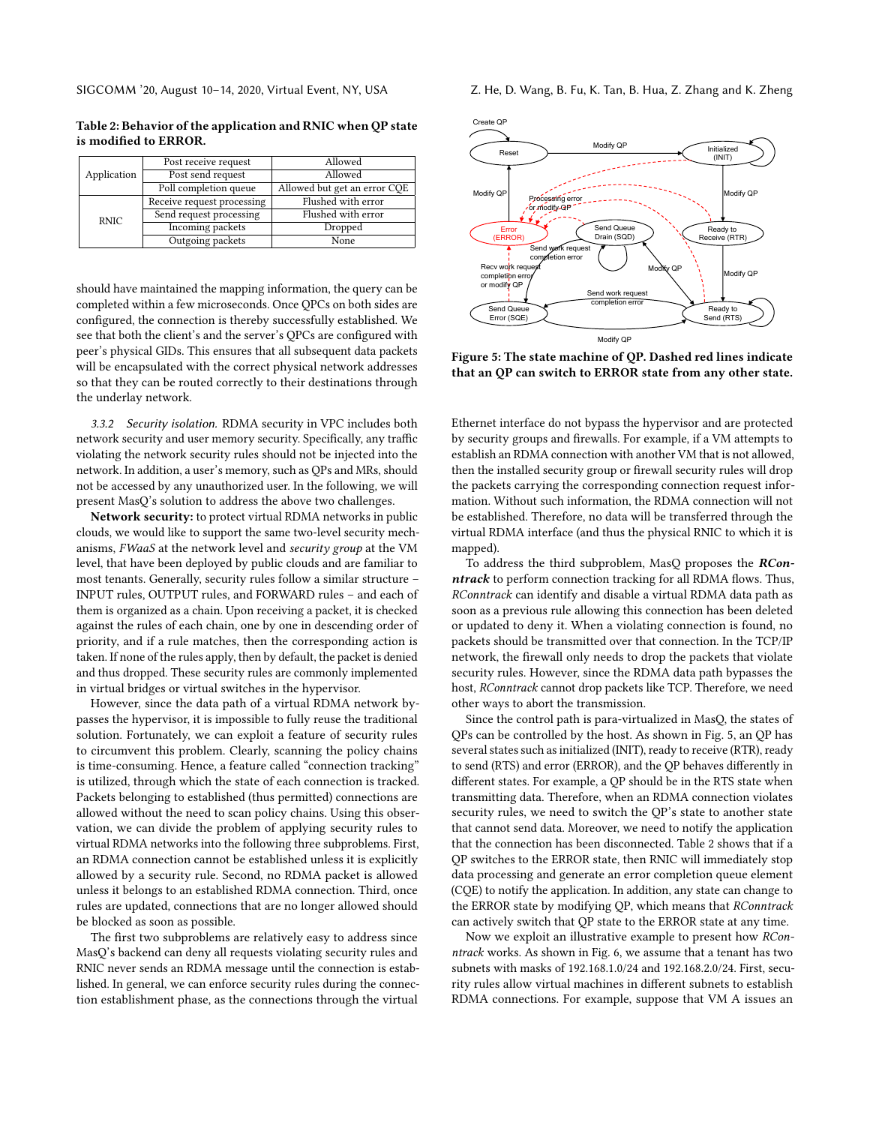<span id="page-5-1"></span>Table 2: Behavior of the application and RNIC when QP state is modified to ERROR.

|             | Post receive request       | Allowed                      |
|-------------|----------------------------|------------------------------|
| Application | Post send request          | Allowed                      |
|             | Poll completion queue      | Allowed but get an error CQE |
| <b>RNIC</b> | Receive request processing | Flushed with error           |
|             | Send request processing    | Flushed with error           |
|             | <b>Incoming packets</b>    | Dropped                      |
|             | Outgoing packets           | None                         |

should have maintained the mapping information, the query can be completed within a few microseconds. Once QPCs on both sides are configured, the connection is thereby successfully established. We see that both the client's and the server's QPCs are configured with peer's physical GIDs. This ensures that all subsequent data packets will be encapsulated with the correct physical network addresses so that they can be routed correctly to their destinations through the underlay network.

3.3.2 Security isolation. RDMA security in VPC includes both network security and user memory security. Specifically, any traffic violating the network security rules should not be injected into the network. In addition, a user's memory, such as QPs and MRs, should not be accessed by any unauthorized user. In the following, we will present MasQ's solution to address the above two challenges.

Network security: to protect virtual RDMA networks in public clouds, we would like to support the same two-level security mechanisms, FWaaS at the network level and security group at the VM level, that have been deployed by public clouds and are familiar to most tenants. Generally, security rules follow a similar structure – INPUT rules, OUTPUT rules, and FORWARD rules – and each of them is organized as a chain. Upon receiving a packet, it is checked against the rules of each chain, one by one in descending order of priority, and if a rule matches, then the corresponding action is taken. If none of the rules apply, then by default, the packet is denied and thus dropped. These security rules are commonly implemented in virtual bridges or virtual switches in the hypervisor.

However, since the data path of a virtual RDMA network bypasses the hypervisor, it is impossible to fully reuse the traditional solution. Fortunately, we can exploit a feature of security rules to circumvent this problem. Clearly, scanning the policy chains is time-consuming. Hence, a feature called "connection tracking" is utilized, through which the state of each connection is tracked. Packets belonging to established (thus permitted) connections are allowed without the need to scan policy chains. Using this observation, we can divide the problem of applying security rules to virtual RDMA networks into the following three subproblems. First, an RDMA connection cannot be established unless it is explicitly allowed by a security rule. Second, no RDMA packet is allowed unless it belongs to an established RDMA connection. Third, once rules are updated, connections that are no longer allowed should be blocked as soon as possible.

The first two subproblems are relatively easy to address since MasQ's backend can deny all requests violating security rules and RNIC never sends an RDMA message until the connection is established. In general, we can enforce security rules during the connection establishment phase, as the connections through the virtual

<span id="page-5-0"></span>

Figure 5: The state machine of QP. Dashed red lines indicate that an QP can switch to ERROR state from any other state.

Ethernet interface do not bypass the hypervisor and are protected by security groups and firewalls. For example, if a VM attempts to establish an RDMA connection with another VM that is not allowed, then the installed security group or firewall security rules will drop the packets carrying the corresponding connection request information. Without such information, the RDMA connection will not be established. Therefore, no data will be transferred through the virtual RDMA interface (and thus the physical RNIC to which it is mapped).

To address the third subproblem, MasQ proposes the RConntrack to perform connection tracking for all RDMA flows. Thus, RConntrack can identify and disable a virtual RDMA data path as soon as a previous rule allowing this connection has been deleted or updated to deny it. When a violating connection is found, no packets should be transmitted over that connection. In the TCP/IP network, the firewall only needs to drop the packets that violate security rules. However, since the RDMA data path bypasses the host, RConntrack cannot drop packets like TCP. Therefore, we need other ways to abort the transmission.

Since the control path is para-virtualized in MasQ, the states of QPs can be controlled by the host. As shown in Fig. [5,](#page-5-0) an QP has several states such as initialized (INIT), ready to receive (RTR), ready to send (RTS) and error (ERROR), and the QP behaves differently in different states. For example, a QP should be in the RTS state when transmitting data. Therefore, when an RDMA connection violates security rules, we need to switch the QP's state to another state that cannot send data. Moreover, we need to notify the application that the connection has been disconnected. Table [2](#page-5-1) shows that if a QP switches to the ERROR state, then RNIC will immediately stop data processing and generate an error completion queue element (CQE) to notify the application. In addition, any state can change to the ERROR state by modifying QP, which means that RConntrack can actively switch that QP state to the ERROR state at any time.

Now we exploit an illustrative example to present how RConntrack works. As shown in Fig. [6,](#page-6-1) we assume that a tenant has two subnets with masks of 192.168.1.0/24 and 192.168.2.0/24. First, security rules allow virtual machines in different subnets to establish RDMA connections. For example, suppose that VM A issues an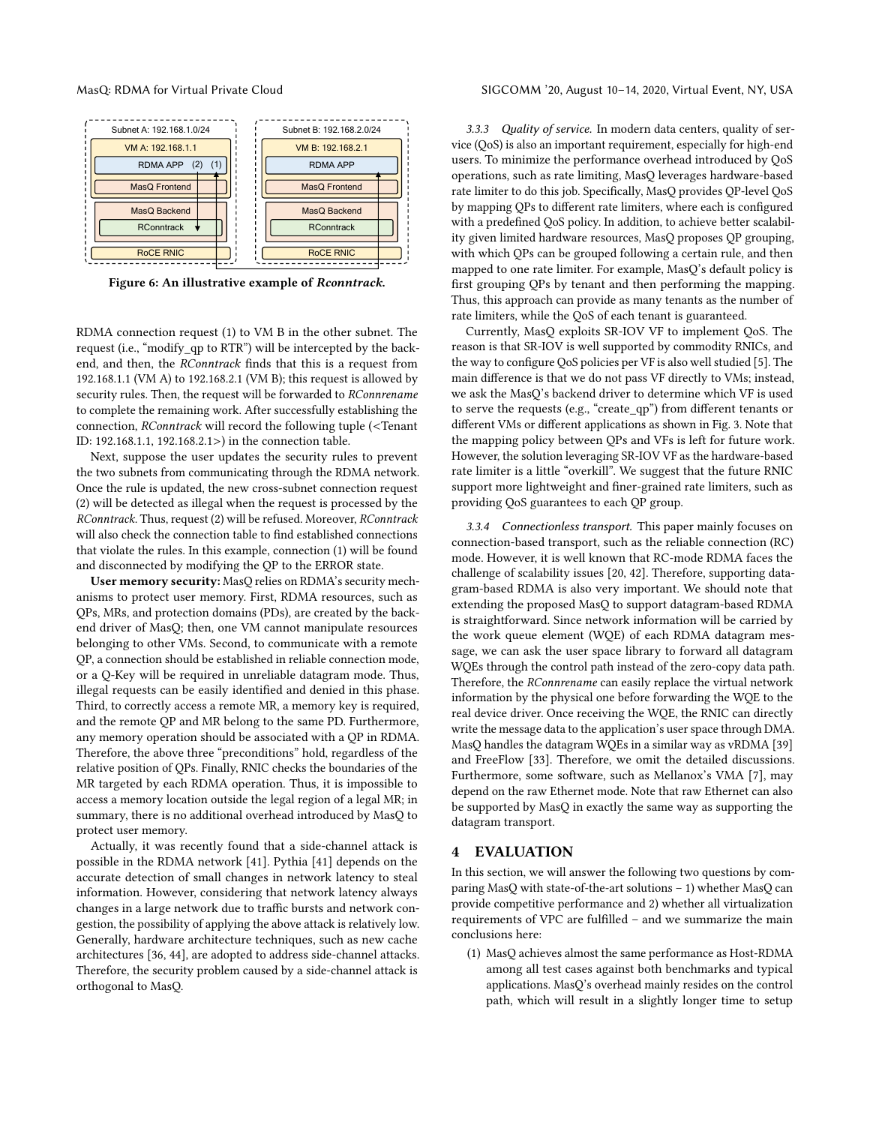<span id="page-6-1"></span>

Figure 6: An illustrative example of Rconntrack.

RDMA connection request (1) to VM B in the other subnet. The request (i.e., "modify\_qp to RTR") will be intercepted by the backend, and then, the RConntrack finds that this is a request from 192.168.1.1 (VM A) to 192.168.2.1 (VM B); this request is allowed by security rules. Then, the request will be forwarded to RConnrename to complete the remaining work. After successfully establishing the connection, RConntrack will record the following tuple (<Tenant ID: 192.168.1.1, 192.168.2.1>) in the connection table.

Next, suppose the user updates the security rules to prevent the two subnets from communicating through the RDMA network. Once the rule is updated, the new cross-subnet connection request (2) will be detected as illegal when the request is processed by the RConntrack. Thus, request (2) will be refused. Moreover, RConntrack will also check the connection table to find established connections that violate the rules. In this example, connection (1) will be found and disconnected by modifying the QP to the ERROR state.

User memory security: MasQ relies on RDMA's security mechanisms to protect user memory. First, RDMA resources, such as QPs, MRs, and protection domains (PDs), are created by the backend driver of MasQ; then, one VM cannot manipulate resources belonging to other VMs. Second, to communicate with a remote QP, a connection should be established in reliable connection mode, or a Q-Key will be required in unreliable datagram mode. Thus, illegal requests can be easily identified and denied in this phase. Third, to correctly access a remote MR, a memory key is required, and the remote QP and MR belong to the same PD. Furthermore, any memory operation should be associated with a QP in RDMA. Therefore, the above three "preconditions" hold, regardless of the relative position of QPs. Finally, RNIC checks the boundaries of the MR targeted by each RDMA operation. Thus, it is impossible to access a memory location outside the legal region of a legal MR; in summary, there is no additional overhead introduced by MasQ to protect user memory.

Actually, it was recently found that a side-channel attack is possible in the RDMA network [\[41\]](#page-12-22). Pythia [\[41\]](#page-12-22) depends on the accurate detection of small changes in network latency to steal information. However, considering that network latency always changes in a large network due to traffic bursts and network congestion, the possibility of applying the above attack is relatively low. Generally, hardware architecture techniques, such as new cache architectures [\[36,](#page-12-23) [44\]](#page-12-24), are adopted to address side-channel attacks. Therefore, the security problem caused by a side-channel attack is orthogonal to MasQ.

3.3.3 Quality of service. In modern data centers, quality of service (QoS) is also an important requirement, especially for high-end users. To minimize the performance overhead introduced by QoS operations, such as rate limiting, MasQ leverages hardware-based rate limiter to do this job. Specifically, MasQ provides QP-level QoS by mapping QPs to different rate limiters, where each is configured with a predefined QoS policy. In addition, to achieve better scalability given limited hardware resources, MasQ proposes QP grouping, with which QPs can be grouped following a certain rule, and then mapped to one rate limiter. For example, MasQ's default policy is first grouping QPs by tenant and then performing the mapping. Thus, this approach can provide as many tenants as the number of rate limiters, while the QoS of each tenant is guaranteed.

Currently, MasQ exploits SR-IOV VF to implement QoS. The reason is that SR-IOV is well supported by commodity RNICs, and the way to configure QoS policies per VF is also well studied [\[5\]](#page-11-3). The main difference is that we do not pass VF directly to VMs; instead, we ask the MasQ's backend driver to determine which VF is used to serve the requests (e.g., "create\_qp") from different tenants or different VMs or different applications as shown in Fig. [3.](#page-3-2) Note that the mapping policy between QPs and VFs is left for future work. However, the solution leveraging SR-IOV VF as the hardware-based rate limiter is a little "overkill". We suggest that the future RNIC support more lightweight and finer-grained rate limiters, such as providing QoS guarantees to each QP group.

<span id="page-6-0"></span>3.3.4 Connectionless transport. This paper mainly focuses on connection-based transport, such as the reliable connection (RC) mode. However, it is well known that RC-mode RDMA faces the challenge of scalability issues [\[20,](#page-12-14) [42\]](#page-12-25). Therefore, supporting datagram-based RDMA is also very important. We should note that extending the proposed MasQ to support datagram-based RDMA is straightforward. Since network information will be carried by the work queue element (WQE) of each RDMA datagram message, we can ask the user space library to forward all datagram WQEs through the control path instead of the zero-copy data path. Therefore, the RConnrename can easily replace the virtual network information by the physical one before forwarding the WQE to the real device driver. Once receiving the WQE, the RNIC can directly write the message data to the application's user space through DMA. MasQ handles the datagram WQEs in a similar way as vRDMA [\[39\]](#page-12-9) and FreeFlow [\[33\]](#page-12-6). Therefore, we omit the detailed discussions. Furthermore, some software, such as Mellanox's VMA [\[7\]](#page-11-4), may depend on the raw Ethernet mode. Note that raw Ethernet can also be supported by MasQ in exactly the same way as supporting the datagram transport.

# 4 EVALUATION

In this section, we will answer the following two questions by comparing MasQ with state-of-the-art solutions – 1) whether MasQ can provide competitive performance and 2) whether all virtualization requirements of VPC are fulfilled – and we summarize the main conclusions here:

(1) MasQ achieves almost the same performance as Host-RDMA among all test cases against both benchmarks and typical applications. MasQ's overhead mainly resides on the control path, which will result in a slightly longer time to setup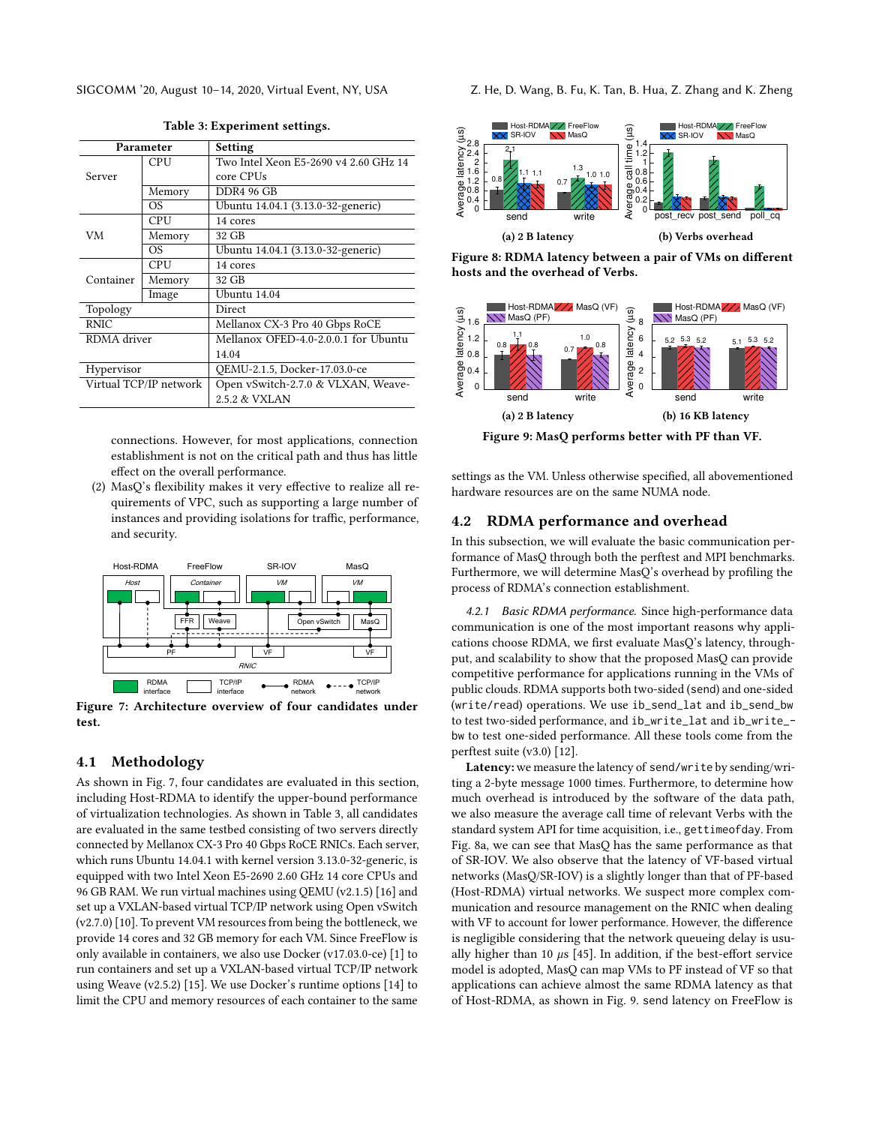<span id="page-7-1"></span>

| Parameter              |                | Setting                               |  |
|------------------------|----------------|---------------------------------------|--|
|                        | CPU            | Two Intel Xeon E5-2690 v4 2.60 GHz 14 |  |
| Server                 |                | core CPUs                             |  |
|                        | Memory         | <b>DDR4 96 GB</b>                     |  |
|                        | OS.            | Ubuntu 14.04.1 (3.13.0-32-generic)    |  |
|                        | CPU            | 14 cores                              |  |
| VM                     | Memory         | 32 GB                                 |  |
|                        | O <sub>S</sub> | Ubuntu 14.04.1 (3.13.0-32-generic)    |  |
|                        | CPU            | 14 cores                              |  |
| Container              | Memory         | 32 GB                                 |  |
|                        | Image          | Ubuntu 14.04                          |  |
| Topology               |                | Direct                                |  |
| <b>RNIC</b>            |                | Mellanox CX-3 Pro 40 Gbps RoCE        |  |
| RDMA driver            |                | Mellanox OFED-4.0-2.0.0.1 for Ubuntu  |  |
|                        |                | 14.04                                 |  |
| Hypervisor             |                | OEMU-2.1.5, Docker-17.03.0-ce         |  |
| Virtual TCP/IP network |                | Open vSwitch-2.7.0 & VLXAN, Weave-    |  |
|                        |                | 2.5.2 & VXLAN                         |  |
|                        |                |                                       |  |

Table 3: Experiment settings.

connections. However, for most applications, connection establishment is not on the critical path and thus has little effect on the overall performance.

(2) MasQ's flexibility makes it very effective to realize all requirements of VPC, such as supporting a large number of instances and providing isolations for traffic, performance, and security.

<span id="page-7-0"></span>

Figure 7: Architecture overview of four candidates under test.

### 4.1 Methodology

As shown in Fig. [7,](#page-7-0) four candidates are evaluated in this section, including Host-RDMA to identify the upper-bound performance of virtualization technologies. As shown in Table [3,](#page-7-1) all candidates are evaluated in the same testbed consisting of two servers directly connected by Mellanox CX-3 Pro 40 Gbps RoCE RNICs. Each server, which runs Ubuntu 14.04.1 with kernel version 3.13.0-32-generic, is equipped with two Intel Xeon E5-2690 2.60 GHz 14 core CPUs and 96 GB RAM. We run virtual machines using QEMU (v2.1.5) [\[16\]](#page-11-5) and set up a VXLAN-based virtual TCP/IP network using Open vSwitch (v2.7.0) [\[10\]](#page-11-6). To prevent VM resources from being the bottleneck, we provide 14 cores and 32 GB memory for each VM. Since FreeFlow is only available in containers, we also use Docker (v17.03.0-ce) [\[1\]](#page-11-7) to run containers and set up a VXLAN-based virtual TCP/IP network using Weave (v2.5.2) [\[15\]](#page-11-8). We use Docker's runtime options [\[14\]](#page-11-9) to limit the CPU and memory resources of each container to the same

SIGCOMM '20, August 10-14, 2020, Virtual Event, NY, USA Z. He, D. Wang, B. Fu, K. Tan, B. Hua, Z. Zhang and K. Zheng

<span id="page-7-2"></span>

hosts and the overhead of Verbs.

<span id="page-7-3"></span>

Figure 9: MasQ performs better with PF than VF.

settings as the VM. Unless otherwise specified, all abovementioned hardware resources are on the same NUMA node.

#### 4.2 RDMA performance and overhead

In this subsection, we will evaluate the basic communication performance of MasQ through both the perftest and MPI benchmarks. Furthermore, we will determine MasQ's overhead by profiling the process of RDMA's connection establishment.

4.2.1 Basic RDMA performance. Since high-performance data communication is one of the most important reasons why applications choose RDMA, we first evaluate MasQ's latency, throughput, and scalability to show that the proposed MasQ can provide competitive performance for applications running in the VMs of public clouds. RDMA supports both two-sided (send) and one-sided (write/read) operations. We use ib\_send\_lat and ib\_send\_bw to test two-sided performance, and ib\_write\_lat and ib\_write\_ bw to test one-sided performance. All these tools come from the perftest suite (v3.0) [\[12\]](#page-11-10).

Latency: we measure the latency of send/write by sending/writing a 2-byte message 1000 times. Furthermore, to determine how much overhead is introduced by the software of the data path, we also measure the average call time of relevant Verbs with the standard system API for time acquisition, i.e., gettimeofday. From Fig. [8a,](#page-7-2) we can see that MasQ has the same performance as that of SR-IOV. We also observe that the latency of VF-based virtual networks (MasQ/SR-IOV) is a slightly longer than that of PF-based (Host-RDMA) virtual networks. We suspect more complex communication and resource management on the RNIC when dealing with VF to account for lower performance. However, the difference is negligible considering that the network queueing delay is usually higher than 10  $\mu$ s [\[45\]](#page-12-18). In addition, if the best-effort service model is adopted, MasQ can map VMs to PF instead of VF so that applications can achieve almost the same RDMA latency as that of Host-RDMA, as shown in Fig. [9.](#page-7-3) send latency on FreeFlow is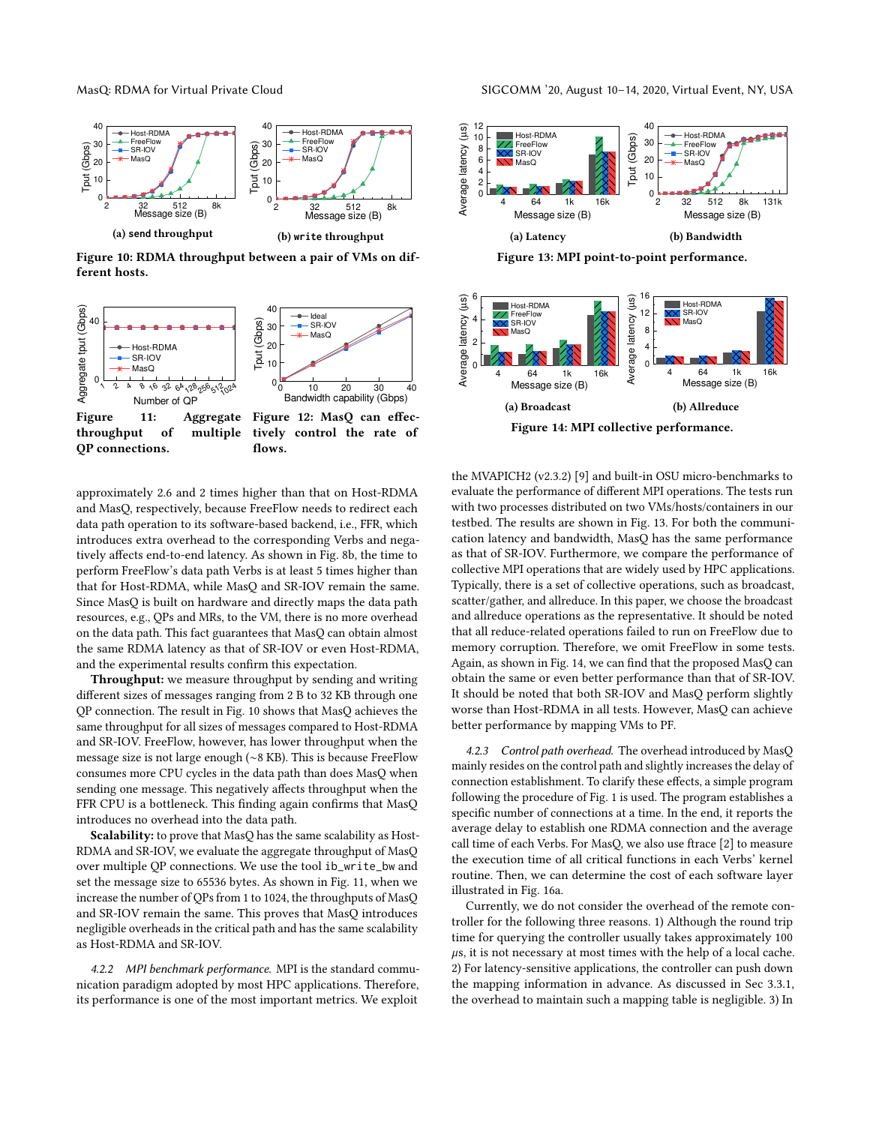<span id="page-8-0"></span>

Figure 10: RDMA throughput between a pair of VMs on different hosts.

<span id="page-8-1"></span>

approximately 2.6 and 2 times higher than that on Host-RDMA and MasQ, respectively, because FreeFlow needs to redirect each data path operation to its software-based backend, i.e., FFR, which introduces extra overhead to the corresponding Verbs and negatively affects end-to-end latency. As shown in Fig. [8b,](#page-7-2) the time to perform FreeFlow's data path Verbs is at least 5 times higher than that for Host-RDMA, while MasQ and SR-IOV remain the same. Since MasQ is built on hardware and directly maps the data path resources, e.g., QPs and MRs, to the VM, there is no more overhead on the data path. This fact guarantees that MasQ can obtain almost the same RDMA latency as that of SR-IOV or even Host-RDMA, and the experimental results confirm this expectation.

Throughput: we measure throughput by sending and writing different sizes of messages ranging from 2 B to 32 KB through one QP connection. The result in Fig. [10](#page-8-0) shows that MasQ achieves the same throughput for all sizes of messages compared to Host-RDMA and SR-IOV. FreeFlow, however, has lower throughput when the message size is not large enough (∼8 KB). This is because FreeFlow consumes more CPU cycles in the data path than does MasQ when sending one message. This negatively affects throughput when the FFR CPU is a bottleneck. This finding again confirms that MasQ introduces no overhead into the data path.

Scalability: to prove that MasQ has the same scalability as Host-RDMA and SR-IOV, we evaluate the aggregate throughput of MasQ over multiple QP connections. We use the tool ib\_write\_bw and set the message size to 65536 bytes. As shown in Fig. [11,](#page-8-1) when we increase the number of QPs from 1 to 1024, the throughputs of MasQ and SR-IOV remain the same. This proves that MasQ introduces negligible overheads in the critical path and has the same scalability as Host-RDMA and SR-IOV.

4.2.2 MPI benchmark performance. MPI is the standard communication paradigm adopted by most HPC applications. Therefore, its performance is one of the most important metrics. We exploit

<span id="page-8-2"></span>

Figure 13: MPI point-to-point performance.

<span id="page-8-3"></span>

the MVAPICH2 (v2.3.2) [\[9\]](#page-11-11) and built-in OSU micro-benchmarks to evaluate the performance of different MPI operations. The tests run with two processes distributed on two VMs/hosts/containers in our testbed. The results are shown in Fig. [13.](#page-8-2) For both the communication latency and bandwidth, MasQ has the same performance as that of SR-IOV. Furthermore, we compare the performance of collective MPI operations that are widely used by HPC applications. Typically, there is a set of collective operations, such as broadcast, scatter/gather, and allreduce. In this paper, we choose the broadcast and allreduce operations as the representative. It should be noted that all reduce-related operations failed to run on FreeFlow due to memory corruption. Therefore, we omit FreeFlow in some tests. Again, as shown in Fig. [14,](#page-8-3) we can find that the proposed MasQ can obtain the same or even better performance than that of SR-IOV. It should be noted that both SR-IOV and MasQ perform slightly worse than Host-RDMA in all tests. However, MasQ can achieve better performance by mapping VMs to PF.

4.2.3 Control path overhead. The overhead introduced by MasQ mainly resides on the control path and slightly increases the delay of connection establishment. To clarify these effects, a simple program following the procedure of Fig. [1](#page-2-1) is used. The program establishes a specific number of connections at a time. In the end, it reports the average delay to establish one RDMA connection and the average call time of each Verbs. For MasQ, we also use ftrace [\[2\]](#page-11-12) to measure the execution time of all critical functions in each Verbs' kernel routine. Then, we can determine the cost of each software layer illustrated in Fig. [16a.](#page-9-0)

Currently, we do not consider the overhead of the remote controller for the following three reasons. 1) Although the round trip time for querying the controller usually takes approximately 100  $\mu$ s, it is not necessary at most times with the help of a local cache. 2) For latency-sensitive applications, the controller can push down the mapping information in advance. As discussed in Sec [3.3.1,](#page-3-3) the overhead to maintain such a mapping table is negligible. 3) In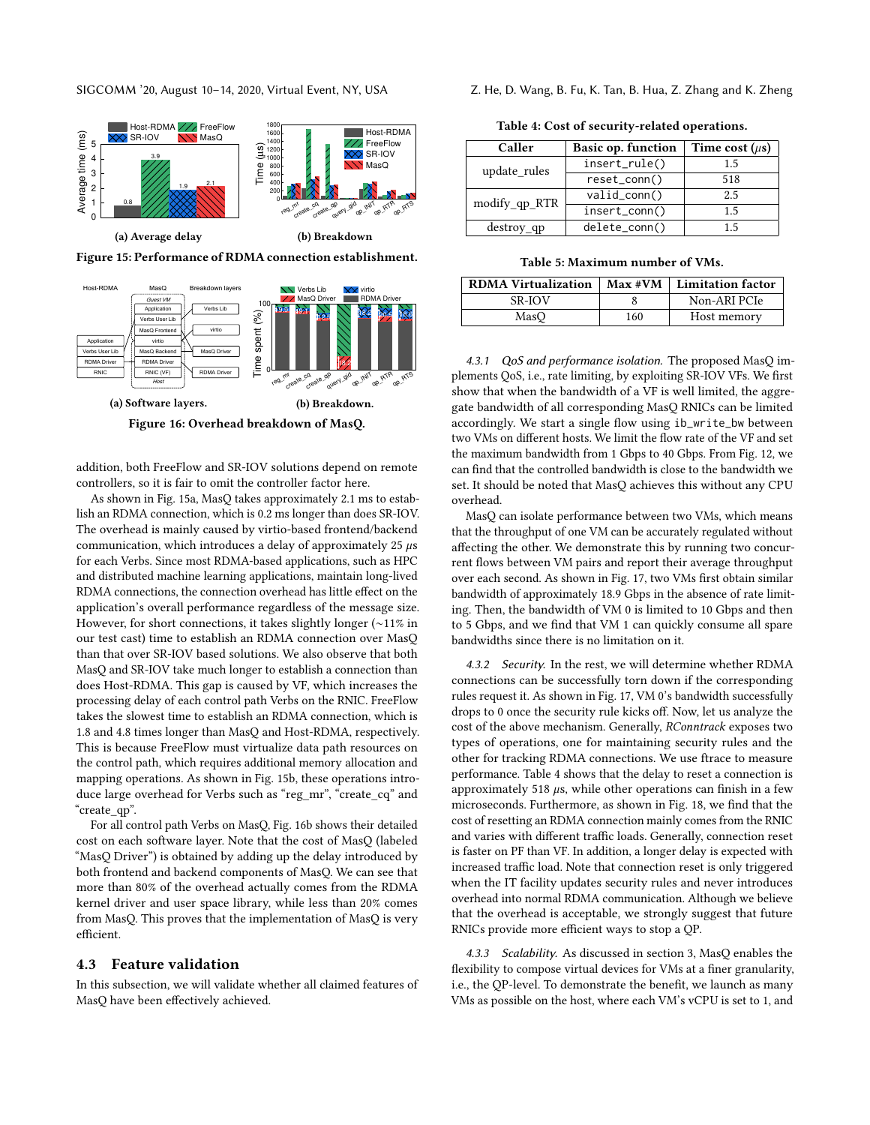SIGCOMM '20, August 10-14, 2020, Virtual Event, NY, USA

<span id="page-9-1"></span>

Figure 15: Performance of RDMA connection establishment.

<span id="page-9-0"></span>

addition, both FreeFlow and SR-IOV solutions depend on remote controllers, so it is fair to omit the controller factor here.

As shown in Fig. [15a,](#page-9-1) MasQ takes approximately 2.1 ms to establish an RDMA connection, which is 0.2 ms longer than does SR-IOV. The overhead is mainly caused by virtio-based frontend/backend communication, which introduces a delay of approximately  $25 \mu s$ for each Verbs. Since most RDMA-based applications, such as HPC and distributed machine learning applications, maintain long-lived RDMA connections, the connection overhead has little effect on the application's overall performance regardless of the message size. However, for short connections, it takes slightly longer (∼11% in our test cast) time to establish an RDMA connection over MasQ than that over SR-IOV based solutions. We also observe that both MasQ and SR-IOV take much longer to establish a connection than does Host-RDMA. This gap is caused by VF, which increases the processing delay of each control path Verbs on the RNIC. FreeFlow takes the slowest time to establish an RDMA connection, which is 1.8 and 4.8 times longer than MasQ and Host-RDMA, respectively. This is because FreeFlow must virtualize data path resources on the control path, which requires additional memory allocation and mapping operations. As shown in Fig. [15b,](#page-9-1) these operations introduce large overhead for Verbs such as "reg\_mr", "create\_cq" and "create\_qp".

For all control path Verbs on MasQ, Fig. [16b](#page-9-0) shows their detailed cost on each software layer. Note that the cost of MasQ (labeled "MasQ Driver") is obtained by adding up the delay introduced by both frontend and backend components of MasQ. We can see that more than 80% of the overhead actually comes from the RDMA kernel driver and user space library, while less than 20% comes from MasQ. This proves that the implementation of MasQ is very efficient.

#### 4.3 Feature validation

In this subsection, we will validate whether all claimed features of MasQ have been effectively achieved.

<span id="page-9-2"></span>

| Z. He, D. Wang, B. Fu, K. Tan, B. Hua, Z. Zhang and K. Zheng |  |  |
|--------------------------------------------------------------|--|--|
|--------------------------------------------------------------|--|--|

| Caller        | <b>Basic op. function</b> | Time cost $(\mu s)$ |
|---------------|---------------------------|---------------------|
| update_rules  | insert_rule()             | 1.5                 |
|               | reset_conn()              | 518                 |
| modify_qp_RTR | valid_conn()              | 2.5                 |
|               | insert_conn()             | 1.5                 |
| $destroy_qp$  | delete_conn()             | 1.5                 |

Table 5: Maximum number of VMs.

<span id="page-9-3"></span>

| <b>RDMA Virtualization</b> |     | $Max$ #VM   Limitation factor |
|----------------------------|-----|-------------------------------|
| <b>SR-IOV</b>              |     | Non-ARI PCIe                  |
| MasO                       | 160 | Host memory                   |

4.3.1 QoS and performance isolation. The proposed MasQ implements QoS, i.e., rate limiting, by exploiting SR-IOV VFs. We first show that when the bandwidth of a VF is well limited, the aggregate bandwidth of all corresponding MasQ RNICs can be limited accordingly. We start a single flow using ib\_write\_bw between two VMs on different hosts. We limit the flow rate of the VF and set the maximum bandwidth from 1 Gbps to 40 Gbps. From Fig. [12,](#page-8-1) we can find that the controlled bandwidth is close to the bandwidth we set. It should be noted that MasQ achieves this without any CPU overhead.

MasQ can isolate performance between two VMs, which means that the throughput of one VM can be accurately regulated without affecting the other. We demonstrate this by running two concurrent flows between VM pairs and report their average throughput over each second. As shown in Fig. [17,](#page-10-0) two VMs first obtain similar bandwidth of approximately 18.9 Gbps in the absence of rate limiting. Then, the bandwidth of VM 0 is limited to 10 Gbps and then to 5 Gbps, and we find that VM 1 can quickly consume all spare bandwidths since there is no limitation on it.

4.3.2 Security. In the rest, we will determine whether RDMA connections can be successfully torn down if the corresponding rules request it. As shown in Fig. [17,](#page-10-0) VM 0's bandwidth successfully drops to 0 once the security rule kicks off. Now, let us analyze the cost of the above mechanism. Generally, RConntrack exposes two types of operations, one for maintaining security rules and the other for tracking RDMA connections. We use ftrace to measure performance. Table [4](#page-9-2) shows that the delay to reset a connection is approximately 518  $\mu$ s, while other operations can finish in a few microseconds. Furthermore, as shown in Fig. [18,](#page-10-0) we find that the cost of resetting an RDMA connection mainly comes from the RNIC and varies with different traffic loads. Generally, connection reset is faster on PF than VF. In addition, a longer delay is expected with increased traffic load. Note that connection reset is only triggered when the IT facility updates security rules and never introduces overhead into normal RDMA communication. Although we believe that the overhead is acceptable, we strongly suggest that future RNICs provide more efficient ways to stop a QP.

4.3.3 Scalability. As discussed in section [3,](#page-2-3) MasQ enables the flexibility to compose virtual devices for VMs at a finer granularity, i.e., the QP-level. To demonstrate the benefit, we launch as many VMs as possible on the host, where each VM's vCPU is set to 1, and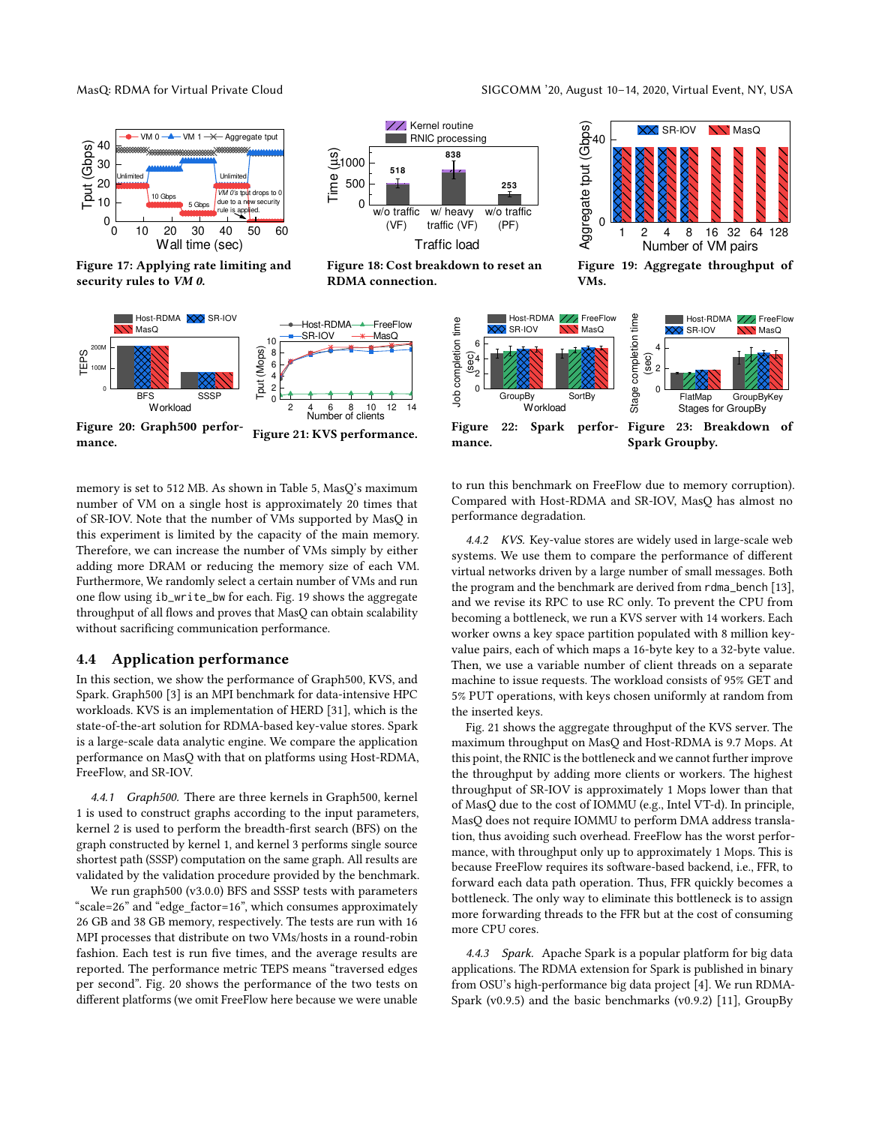<span id="page-10-0"></span>

Figure 17: Applying rate limiting and security rules to VM 0.

<span id="page-10-1"></span>

w/o traffic (VF)

RDMA connection.

**518**

0 500  $\frac{1}{21000}$ <br>  $\frac{1}{2}500$ <br>  $\frac{1}{2}500$ 

w/ heavy traffic (VF)

**838**

XX, Kernel routine RNIC processing

Traffic load

Figure 18: Cost breakdown to reset an

w/o traffic (PF)

**253**

mance. Figure 21: KVS performance.

memory is set to 512 MB. As shown in Table [5,](#page-9-3) MasQ's maximum number of VM on a single host is approximately 20 times that of SR-IOV. Note that the number of VMs supported by MasQ in this experiment is limited by the capacity of the main memory. Therefore, we can increase the number of VMs simply by either adding more DRAM or reducing the memory size of each VM. Furthermore, We randomly select a certain number of VMs and run one flow using ib\_write\_bw for each. Fig. [19](#page-10-0) shows the aggregate throughput of all flows and proves that MasQ can obtain scalability without sacrificing communication performance.

#### 4.4 Application performance

In this section, we show the performance of Graph500, KVS, and Spark. Graph500 [\[3\]](#page-11-13) is an MPI benchmark for data-intensive HPC workloads. KVS is an implementation of HERD [\[31\]](#page-12-26), which is the state-of-the-art solution for RDMA-based key-value stores. Spark is a large-scale data analytic engine. We compare the application performance on MasQ with that on platforms using Host-RDMA, FreeFlow, and SR-IOV.

4.4.1 Graph500. There are three kernels in Graph500, kernel 1 is used to construct graphs according to the input parameters, kernel 2 is used to perform the breadth-first search (BFS) on the graph constructed by kernel 1, and kernel 3 performs single source shortest path (SSSP) computation on the same graph. All results are validated by the validation procedure provided by the benchmark.

We run graph500 (v3.0.0) BFS and SSSP tests with parameters "scale=26" and "edge\_factor=16", which consumes approximately 26 GB and 38 GB memory, respectively. The tests are run with 16 MPI processes that distribute on two VMs/hosts in a round-robin fashion. Each test is run five times, and the average results are reported. The performance metric TEPS means "traversed edges per second". Fig. [20](#page-10-1) shows the performance of the two tests on different platforms (we omit FreeFlow here because we were unable

MasQ: RDMA for Virtual Private Cloud **SIGCOMM** '20, August 10-14, 2020, Virtual Event, NY, USA



Figure 19: Aggregate throughput of VMs.

<span id="page-10-2"></span>

to run this benchmark on FreeFlow due to memory corruption). Compared with Host-RDMA and SR-IOV, MasQ has almost no performance degradation.

4.4.2 KVS. Key-value stores are widely used in large-scale web systems. We use them to compare the performance of different virtual networks driven by a large number of small messages. Both the program and the benchmark are derived from rdma\_bench [\[13\]](#page-11-14), and we revise its RPC to use RC only. To prevent the CPU from becoming a bottleneck, we run a KVS server with 14 workers. Each worker owns a key space partition populated with 8 million keyvalue pairs, each of which maps a 16-byte key to a 32-byte value. Then, we use a variable number of client threads on a separate machine to issue requests. The workload consists of 95% GET and 5% PUT operations, with keys chosen uniformly at random from the inserted keys.

Fig. [21](#page-10-1) shows the aggregate throughput of the KVS server. The maximum throughput on MasQ and Host-RDMA is 9.7 Mops. At this point, the RNIC is the bottleneck and we cannot further improve the throughput by adding more clients or workers. The highest throughput of SR-IOV is approximately 1 Mops lower than that of MasQ due to the cost of IOMMU (e.g., Intel VT-d). In principle, MasQ does not require IOMMU to perform DMA address translation, thus avoiding such overhead. FreeFlow has the worst performance, with throughput only up to approximately 1 Mops. This is because FreeFlow requires its software-based backend, i.e., FFR, to forward each data path operation. Thus, FFR quickly becomes a bottleneck. The only way to eliminate this bottleneck is to assign more forwarding threads to the FFR but at the cost of consuming more CPU cores.

4.4.3 Spark. Apache Spark is a popular platform for big data applications. The RDMA extension for Spark is published in binary from OSU's high-performance big data project [\[4\]](#page-11-15). We run RDMA-Spark (v0.9.5) and the basic benchmarks (v0.9.2) [\[11\]](#page-11-16), GroupBy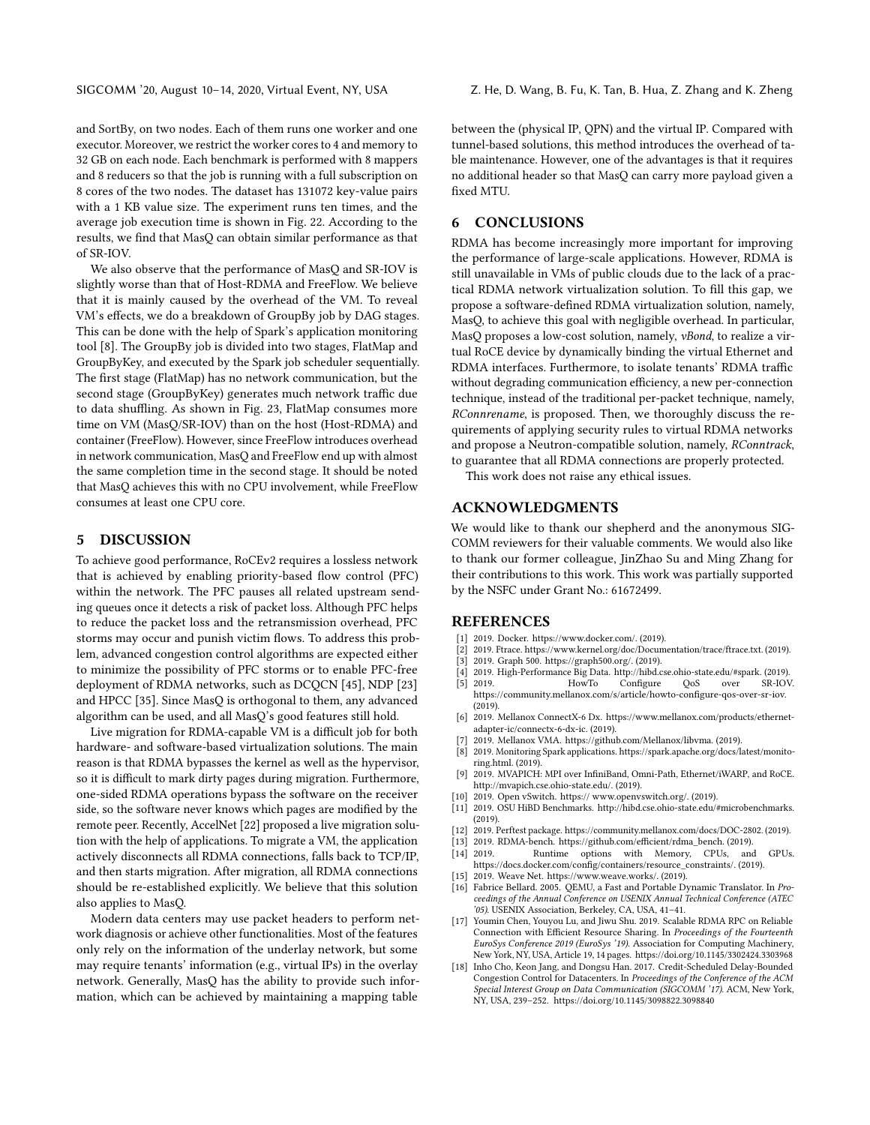and SortBy, on two nodes. Each of them runs one worker and one executor. Moreover, we restrict the worker cores to 4 and memory to 32 GB on each node. Each benchmark is performed with 8 mappers and 8 reducers so that the job is running with a full subscription on 8 cores of the two nodes. The dataset has 131072 key-value pairs with a 1 KB value size. The experiment runs ten times, and the average job execution time is shown in Fig. [22.](#page-10-2) According to the results, we find that MasQ can obtain similar performance as that of SR-IOV.

We also observe that the performance of MasQ and SR-IOV is slightly worse than that of Host-RDMA and FreeFlow. We believe that it is mainly caused by the overhead of the VM. To reveal VM's effects, we do a breakdown of GroupBy job by DAG stages. This can be done with the help of Spark's application monitoring tool [\[8\]](#page-11-17). The GroupBy job is divided into two stages, FlatMap and GroupByKey, and executed by the Spark job scheduler sequentially. The first stage (FlatMap) has no network communication, but the second stage (GroupByKey) generates much network traffic due to data shuffling. As shown in Fig. [23,](#page-10-2) FlatMap consumes more time on VM (MasQ/SR-IOV) than on the host (Host-RDMA) and container (FreeFlow). However, since FreeFlow introduces overhead in network communication, MasQ and FreeFlow end up with almost the same completion time in the second stage. It should be noted that MasQ achieves this with no CPU involvement, while FreeFlow consumes at least one CPU core.

### 5 DISCUSSION

To achieve good performance, RoCEv2 requires a lossless network that is achieved by enabling priority-based flow control (PFC) within the network. The PFC pauses all related upstream sending queues once it detects a risk of packet loss. Although PFC helps to reduce the packet loss and the retransmission overhead, PFC storms may occur and punish victim flows. To address this problem, advanced congestion control algorithms are expected either to minimize the possibility of PFC storms or to enable PFC-free deployment of RDMA networks, such as DCQCN [\[45\]](#page-12-18), NDP [\[23\]](#page-12-17) and HPCC [\[35\]](#page-12-27). Since MasQ is orthogonal to them, any advanced algorithm can be used, and all MasQ's good features still hold.

Live migration for RDMA-capable VM is a difficult job for both hardware- and software-based virtualization solutions. The main reason is that RDMA bypasses the kernel as well as the hypervisor, so it is difficult to mark dirty pages during migration. Furthermore, one-sided RDMA operations bypass the software on the receiver side, so the software never knows which pages are modified by the remote peer. Recently, AccelNet [\[22\]](#page-12-5) proposed a live migration solution with the help of applications. To migrate a VM, the application actively disconnects all RDMA connections, falls back to TCP/IP, and then starts migration. After migration, all RDMA connections should be re-established explicitly. We believe that this solution also applies to MasQ.

Modern data centers may use packet headers to perform network diagnosis or achieve other functionalities. Most of the features only rely on the information of the underlay network, but some may require tenants' information (e.g., virtual IPs) in the overlay network. Generally, MasQ has the ability to provide such information, which can be achieved by maintaining a mapping table

between the (physical IP, QPN) and the virtual IP. Compared with tunnel-based solutions, this method introduces the overhead of table maintenance. However, one of the advantages is that it requires no additional header so that MasQ can carry more payload given a fixed MTU.

# 6 CONCLUSIONS

RDMA has become increasingly more important for improving the performance of large-scale applications. However, RDMA is still unavailable in VMs of public clouds due to the lack of a practical RDMA network virtualization solution. To fill this gap, we propose a software-defined RDMA virtualization solution, namely, MasQ, to achieve this goal with negligible overhead. In particular, MasQ proposes a low-cost solution, namely, vBond, to realize a virtual RoCE device by dynamically binding the virtual Ethernet and RDMA interfaces. Furthermore, to isolate tenants' RDMA traffic without degrading communication efficiency, a new per-connection technique, instead of the traditional per-packet technique, namely, RConnrename, is proposed. Then, we thoroughly discuss the requirements of applying security rules to virtual RDMA networks and propose a Neutron-compatible solution, namely, RConntrack, to guarantee that all RDMA connections are properly protected.

This work does not raise any ethical issues.

# ACKNOWLEDGMENTS

We would like to thank our shepherd and the anonymous SIG-COMM reviewers for their valuable comments. We would also like to thank our former colleague, JinZhao Su and Ming Zhang for their contributions to this work. This work was partially supported by the NSFC under Grant No.: 61672499.

#### REFERENCES

- <span id="page-11-7"></span>[1] 2019. Docker. https://www.docker.com/. (2019).
- <span id="page-11-12"></span>[2] 2019. Ftrace. https://www.kernel.org/doc/Documentation/trace/ftrace.txt. (2019).<br>[3] 2019. Graph 500. https://graph500.org/. (2019).
- <span id="page-11-13"></span>[3] 2019. Graph 500. https://graph500.org/. (2019).
- <span id="page-11-15"></span>[4] 2019. High-Performance Big Data. http://hibd.cse.ohio-state.edu/#spark. (2019).
- <span id="page-11-3"></span>[5] 2019. HowTo Configure QoS over SR-IOV. https://community.mellanox.com/s/article/howto-configure-qos-over-sr-iov. (2019).
- <span id="page-11-0"></span>[6] 2019. Mellanox ConnectX-6 Dx. https://www.mellanox.com/products/ethernetadapter-ic/connectx-6-dx-ic. (2019).
- <span id="page-11-4"></span>[7] 2019. Mellanox VMA. https://github.com/Mellanox/libvma. (2019).
- <span id="page-11-17"></span>[8] 2019. Monitoring Spark applications. https://spark.apache.org/docs/latest/monitoring.html. (2019).
- <span id="page-11-11"></span>[9] 2019. MVAPICH: MPI over InfiniBand, Omni-Path, Ethernet/iWARP, and RoCE. http://mvapich.cse.ohio-state.edu/. (2019).
- <span id="page-11-6"></span>[10] 2019. Open vSwitch. https:// www.openvswitch.org/. (2019).
- <span id="page-11-16"></span>[11] 2019. OSU HiBD Benchmarks. http://hibd.cse.ohio-state.edu/#microbenchmarks.  $(2019)$
- <span id="page-11-10"></span>[12] 2019. Perftest package. https://community.mellanox.com/docs/DOC-2802. (2019).
- <span id="page-11-14"></span>[13] 2019. RDMA-bench. https://github.com/efficient/rdma\_bench. (2019).
- <span id="page-11-9"></span>[14] 2019. Runtime options with Memory, CPUs, and GPUs. https://docs.docker.com/config/containers/resource\_constraints/. (2019).
- <span id="page-11-8"></span>[15] 2019. Weave Net. https://www.weave.works/. (2019).
- <span id="page-11-5"></span>[16] Fabrice Bellard. 2005. QEMU, a Fast and Portable Dynamic Translator. In Proceedings of the Annual Conference on USENIX Annual Technical Conference (ATEC '05). USENIX Association, Berkeley, CA, USA, 41–41.
- <span id="page-11-1"></span>[17] Youmin Chen, Youyou Lu, and Jiwu Shu. 2019. Scalable RDMA RPC on Reliable Connection with Efficient Resource Sharing. In Proceedings of the Fourteenth EuroSys Conference 2019 (EuroSys '19). Association for Computing Machinery, New York, NY, USA, Article 19, 14 pages.<https://doi.org/10.1145/3302424.3303968>
- <span id="page-11-2"></span>[18] Inho Cho, Keon Jang, and Dongsu Han. 2017. Credit-Scheduled Delay-Bounded Congestion Control for Datacenters. In Proceedings of the Conference of the ACM Special Interest Group on Data Communication (SIGCOMM '17). ACM, New York, NY, USA, 239–252.<https://doi.org/10.1145/3098822.3098840>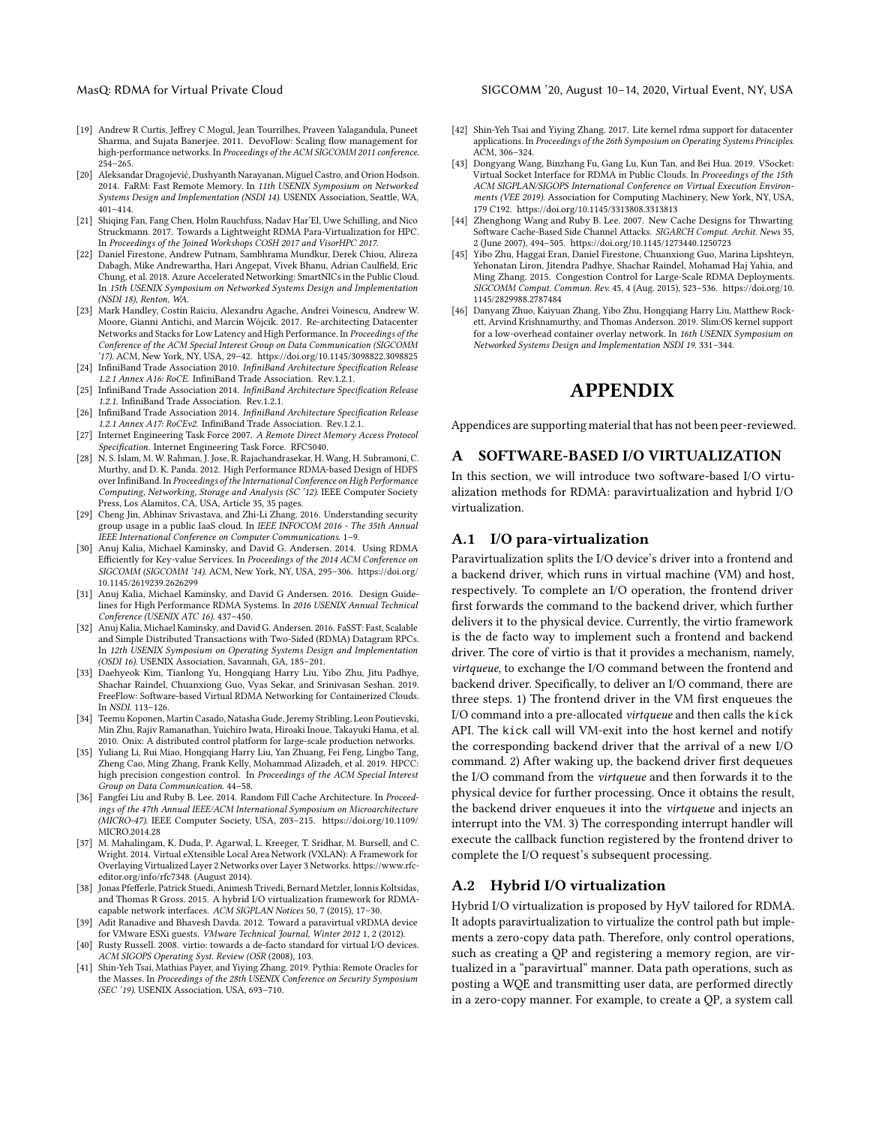#### MasQ: RDMA for Virtual Private Cloud **SIGCOMM** '20, August 10-14, 2020, Virtual Event, NY, USA

- <span id="page-12-20"></span>[19] Andrew R Curtis, Jeffrey C Mogul, Jean Tourrilhes, Praveen Yalagandula, Puneet Sharma, and Sujata Banerjee. 2011. DevoFlow: Scaling flow management for high-performance networks. In Proceedings of the ACM SIGCOMM 2011 conference. 254–265.
- <span id="page-12-14"></span>[20] Aleksandar Dragojević, Dushyanth Narayanan, Miguel Castro, and Orion Hodson. 2014. FaRM: Fast Remote Memory. In 11th USENIX Symposium on Networked Systems Design and Implementation (NSDI 14). USENIX Association, Seattle, WA, 401–414.
- <span id="page-12-11"></span>[21] Shiqing Fan, Fang Chen, Holm Rauchfuss, Nadav Har'El, Uwe Schilling, and Nico Struckmann. 2017. Towards a Lightweight RDMA Para-Virtualization for HPC. In Proceedings of the Joined Workshops COSH 2017 and VisorHPC 2017.
- <span id="page-12-5"></span>[22] Daniel Firestone, Andrew Putnam, Sambhrama Mundkur, Derek Chiou, Alireza Dabagh, Mike Andrewartha, Hari Angepat, Vivek Bhanu, Adrian Caulfield, Eric Chung, et al. 2018. Azure Accelerated Networking: SmartNICs in the Public Cloud. In 15th USENIX Symposium on Networked Systems Design and Implementation (NSDI 18), Renton, WA.
- <span id="page-12-17"></span>[23] Mark Handley, Costin Raiciu, Alexandru Agache, Andrei Voinescu, Andrew W. Moore, Gianni Antichi, and Marcin Wójcik. 2017. Re-architecting Datacenter Networks and Stacks for Low Latency and High Performance. In Proceedings of the Conference of the ACM Special Interest Group on Data Communication (SIGCOMM '17). ACM, New York, NY, USA, 29–42.<https://doi.org/10.1145/3098822.3098825>
- <span id="page-12-1"></span>[24] InfiniBand Trade Association 2010. InfiniBand Architecture Specification Release 1.2.1 Annex A16: RoCE. InfiniBand Trade Association. Rev.1.2.1.
- <span id="page-12-0"></span>[25] InfiniBand Trade Association 2014. InfiniBand Architecture Specification Release 1.2.1. InfiniBand Trade Association. Rev.1.2.1.
- <span id="page-12-2"></span>[26] InfiniBand Trade Association 2014. InfiniBand Architecture Specification Release 1.2.1 Annex A17: RoCEv2. InfiniBand Trade Association. Rev.1.2.1.
- <span id="page-12-3"></span>[27] Internet Engineering Task Force 2007. A Remote Direct Memory Access Protocol Specification. Internet Engineering Task Force. RFC5040.
- <span id="page-12-13"></span>[28] N. S. Islam, M. W. Rahman, J. Jose, R. Rajachandrasekar, H. Wang, H. Subramoni, C. Murthy, and D. K. Panda. 2012. High Performance RDMA-based Design of HDFS over InfiniBand. In Proceedings of the International Conference on High Performance Computing, Networking, Storage and Analysis (SC '12). IEEE Computer Society Press, Los Alamitos, CĂ, USA, Article 35, 35 pages.
- <span id="page-12-8"></span>[29] Cheng Jin, Abhinav Srivastava, and Zhi-Li Zhang. 2016. Understanding security group usage in a public IaaS cloud. In IEEE INFOCOM 2016 - The 35th Annual IEEE International Conference on Computer Communications. 1–9.
- <span id="page-12-16"></span>[30] Anuj Kalia, Michael Kaminsky, and David G. Andersen. 2014. Using RDMA Efficiently for Key-value Services. In Proceedings of the 2014 ACM Conference on SIGCOMM (SIGCOMM '14). ACM, New York, NY, USA, 295–306. [https://doi.org/](https://doi.org/10.1145/2619239.2626299) [10.1145/2619239.2626299](https://doi.org/10.1145/2619239.2626299)
- <span id="page-12-26"></span>[31] Anuj Kalia, Michael Kaminsky, and David G Andersen. 2016. Design Guidelines for High Performance RDMA Systems. In 2016 USENIX Annual Technical Conference (USENIX ATC 16). 437–450.
- <span id="page-12-15"></span>[32] Anuj Kalia, Michael Kaminsky, and David G. Andersen. 2016. FaSST: Fast, Scalable and Simple Distributed Transactions with Two-Sided (RDMA) Datagram RPCs. In 12th USENIX Symposium on Operating Systems Design and Implementation (OSDI 16). USENIX Association, Savannah, GA, 185–201.
- <span id="page-12-6"></span>[33] Daehyeok Kim, Tianlong Yu, Hongqiang Harry Liu, Yibo Zhu, Jitu Padhye, Shachar Raindel, Chuanxiong Guo, Vyas Sekar, and Srinivasan Seshan. 2019. FreeFlow: Software-based Virtual RDMA Networking for Containerized Clouds. In NSDI. 113–126.
- <span id="page-12-21"></span>[34] Teemu Koponen, Martin Casado, Natasha Gude, Jeremy Stribling, Leon Poutievski, Min Zhu, Rajiv Ramanathan, Yuichiro Iwata, Hiroaki Inoue, Takayuki Hama, et al. 2010. Onix: A distributed control platform for large-scale production networks.
- <span id="page-12-27"></span>[35] Yuliang Li, Rui Miao, Hongqiang Harry Liu, Yan Zhuang, Fei Feng, Lingbo Tang, Zheng Cao, Ming Zhang, Frank Kelly, Mohammad Alizadeh, et al. 2019. HPCC: high precision congestion control. In Proceedings of the ACM Special Interest Group on Data Communication. 44–58.
- <span id="page-12-23"></span>[36] Fangfei Liu and Ruby B. Lee. 2014. Random Fill Cache Architecture. In Proceedings of the 47th Annual IEEE/ACM International Symposium on Microarchitecture (MICRO-47). IEEE Computer Society, USA, 203–215. [https://doi.org/10.1109/](https://doi.org/10.1109/MICRO.2014.28) [MICRO.2014.28](https://doi.org/10.1109/MICRO.2014.28)
- <span id="page-12-4"></span>[37] M. Mahalingam, K. Duda, P. Agarwal, L. Kreeger, T. Sridhar, M. Bursell, and C. Wright. 2014. Virtual eXtensible Local Area Network (VXLAN): A Framework for Overlaying Virtualized Layer 2 Networks over Layer 3 Networks. https://www.rfceditor.org/info/rfc7348. (August 2014).
- <span id="page-12-10"></span>[38] Jonas Pfefferle, Patrick Stuedi, Animesh Trivedi, Bernard Metzler, Ionnis Koltsidas, and Thomas R Gross. 2015. A hybrid I/O virtualization framework for RDMAcapable network interfaces. ACM SIGPLAN Notices 50, 7 (2015), 17–30.
- <span id="page-12-9"></span>[39] Adit Ranadive and Bhavesh Davda. 2012. Toward a paravirtual vRDMA device for VMware ESXi guests. VMware Technical Journal, Winter 2012 1, 2 (2012).
- <span id="page-12-7"></span>[40] Rusty Russell. 2008. virtio: towards a de-facto standard for virtual I/O devices. ACM SIGOPS Operating Syst. Review (OSR (2008), 103.
- <span id="page-12-22"></span>[41] Shin-Yeh Tsai, Mathias Payer, and Yiying Zhang. 2019. Pythia: Remote Oracles for the Masses. In Proceedings of the 28th USENIX Conference on Security Symposium (SEC '19). USENIX Association, USA, 693–710.
- <span id="page-12-25"></span>[42] Shin-Yeh Tsai and Yiying Zhang. 2017. Lite kernel rdma support for datacenter applications. In Proceedings of the 26th Symposium on Operating Systems Principles. ACM, 306–324.
- <span id="page-12-12"></span>[43] Dongyang Wang, Binzhang Fu, Gang Lu, Kun Tan, and Bei Hua. 2019. VSocket: Virtual Socket Interface for RDMA in Public Clouds. In Proceedings of the 15th ACM SIGPLAN/SIGOPS International Conference on Virtual Execution Environments (VEE 2019). Association for Computing Machinery, New York, NY, USA, 179 C192.<https://doi.org/10.1145/3313808.3313813>
- <span id="page-12-24"></span>[44] Zhenghong Wang and Ruby B. Lee. 2007. New Cache Designs for Thwarting Software Cache-Based Side Channel Attacks. SIGARCH Comput. Archit. News 35, 2 (June 2007), 494–505.<https://doi.org/10.1145/1273440.1250723>
- <span id="page-12-18"></span>[45] Yibo Zhu, Haggai Eran, Daniel Firestone, Chuanxiong Guo, Marina Lipshteyn, Yehonatan Liron, Jitendra Padhye, Shachar Raindel, Mohamad Haj Yahia, and Ming Zhang. 2015. Congestion Control for Large-Scale RDMA Deployments. SIGCOMM Comput. Commun. Rev. 45, 4 (Aug. 2015), 523–536. [https://doi.org/10.](https://doi.org/10.1145/2829988.2787484) [1145/2829988.2787484](https://doi.org/10.1145/2829988.2787484)
- <span id="page-12-19"></span>[46] Danyang Zhuo, Kaiyuan Zhang, Yibo Zhu, Hongqiang Harry Liu, Matthew Rockett, Arvind Krishnamurthy, and Thomas Anderson. 2019. Slim:OS kernel support for a low-overhead container overlay network. In 16th USENIX Symposium on Networked Systems Design and Implementation NSDI 19. 331–344.

# APPENDIX

Appendices are supporting material that has not been peer-reviewed.

#### SOFTWARE-BASED I/O VIRTUALIZATION

In this section, we will introduce two software-based I/O virtualization methods for RDMA: paravirtualization and hybrid I/O virtualization.

#### A.1 I/O para-virtualization

Paravirtualization splits the I/O device's driver into a frontend and a backend driver, which runs in virtual machine (VM) and host, respectively. To complete an I/O operation, the frontend driver first forwards the command to the backend driver, which further delivers it to the physical device. Currently, the virtio framework is the de facto way to implement such a frontend and backend driver. The core of virtio is that it provides a mechanism, namely, virtqueue, to exchange the I/O command between the frontend and backend driver. Specifically, to deliver an I/O command, there are three steps. 1) The frontend driver in the VM first enqueues the I/O command into a pre-allocated virtqueue and then calls the kick API. The kick call will VM-exit into the host kernel and notify the corresponding backend driver that the arrival of a new I/O command. 2) After waking up, the backend driver first dequeues the I/O command from the virtqueue and then forwards it to the physical device for further processing. Once it obtains the result, the backend driver enqueues it into the virtqueue and injects an interrupt into the VM. 3) The corresponding interrupt handler will execute the callback function registered by the frontend driver to complete the I/O request's subsequent processing.

#### A.2 Hybrid I/O virtualization

Hybrid I/O virtualization is proposed by HyV tailored for RDMA. It adopts paravirtualization to virtualize the control path but implements a zero-copy data path. Therefore, only control operations, such as creating a QP and registering a memory region, are virtualized in a "paravirtual" manner. Data path operations, such as posting a WQE and transmitting user data, are performed directly in a zero-copy manner. For example, to create a QP, a system call